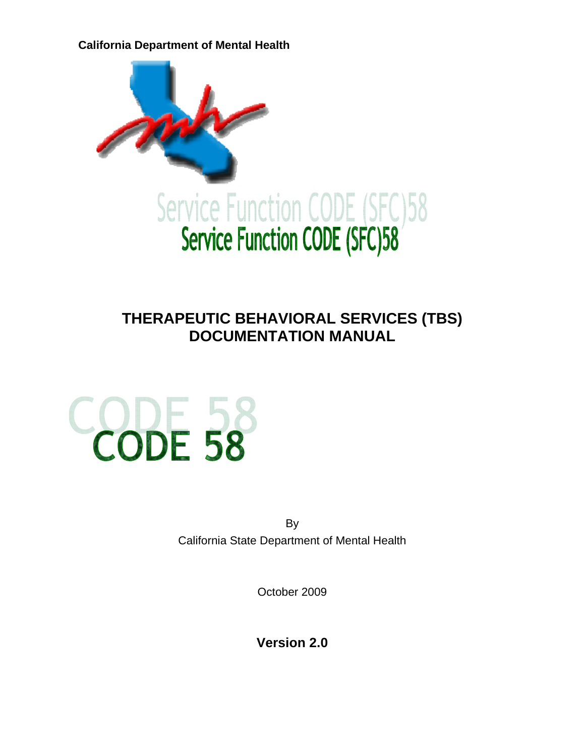**California Department of Mental Health** 



# **THERAPEUTIC BEHAVIORAL SERVICES (TBS) DOCUMENTATION MANUAL**



By California State Department of Mental Health

October 2009

**Version 2.0**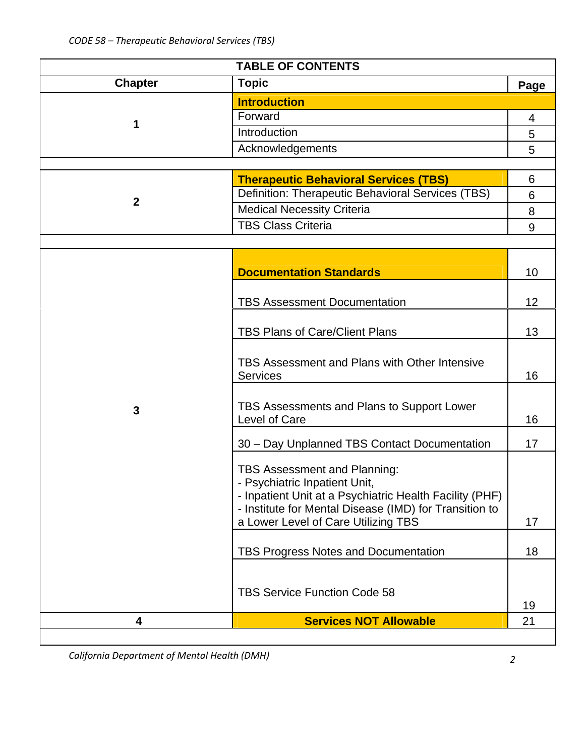| <b>TABLE OF CONTENTS</b> |                                                                                                                   |      |  |  |  |
|--------------------------|-------------------------------------------------------------------------------------------------------------------|------|--|--|--|
| <b>Chapter</b>           | <b>Topic</b>                                                                                                      | Page |  |  |  |
|                          | <b>Introduction</b>                                                                                               |      |  |  |  |
|                          | Forward                                                                                                           | 4    |  |  |  |
| 1                        | Introduction                                                                                                      | 5    |  |  |  |
|                          | Acknowledgements                                                                                                  | 5    |  |  |  |
|                          |                                                                                                                   |      |  |  |  |
|                          | <b>Therapeutic Behavioral Services (TBS)</b>                                                                      | 6    |  |  |  |
| $\boldsymbol{2}$         | Definition: Therapeutic Behavioral Services (TBS)                                                                 | 6    |  |  |  |
|                          | <b>Medical Necessity Criteria</b>                                                                                 | 8    |  |  |  |
|                          | <b>TBS Class Criteria</b>                                                                                         | 9    |  |  |  |
|                          |                                                                                                                   |      |  |  |  |
|                          |                                                                                                                   |      |  |  |  |
|                          | <b>Documentation Standards</b>                                                                                    | 10   |  |  |  |
|                          |                                                                                                                   |      |  |  |  |
|                          | <b>TBS Assessment Documentation</b>                                                                               | 12   |  |  |  |
|                          | <b>TBS Plans of Care/Client Plans</b>                                                                             | 13   |  |  |  |
|                          |                                                                                                                   |      |  |  |  |
|                          | TBS Assessment and Plans with Other Intensive                                                                     |      |  |  |  |
|                          | <b>Services</b>                                                                                                   | 16   |  |  |  |
|                          |                                                                                                                   |      |  |  |  |
| 3                        | TBS Assessments and Plans to Support Lower                                                                        |      |  |  |  |
|                          | Level of Care                                                                                                     | 16   |  |  |  |
|                          | 30 - Day Unplanned TBS Contact Documentation                                                                      | 17   |  |  |  |
|                          |                                                                                                                   |      |  |  |  |
|                          | TBS Assessment and Planning:                                                                                      |      |  |  |  |
|                          | - Psychiatric Inpatient Unit,                                                                                     |      |  |  |  |
|                          | - Inpatient Unit at a Psychiatric Health Facility (PHF)<br>- Institute for Mental Disease (IMD) for Transition to |      |  |  |  |
|                          | a Lower Level of Care Utilizing TBS                                                                               | 17   |  |  |  |
|                          |                                                                                                                   |      |  |  |  |
|                          | <b>TBS Progress Notes and Documentation</b>                                                                       | 18   |  |  |  |
|                          |                                                                                                                   |      |  |  |  |
|                          |                                                                                                                   |      |  |  |  |
|                          | <b>TBS Service Function Code 58</b>                                                                               | 19   |  |  |  |
| 4                        | <b>Services NOT Allowable</b>                                                                                     | 21   |  |  |  |
|                          |                                                                                                                   |      |  |  |  |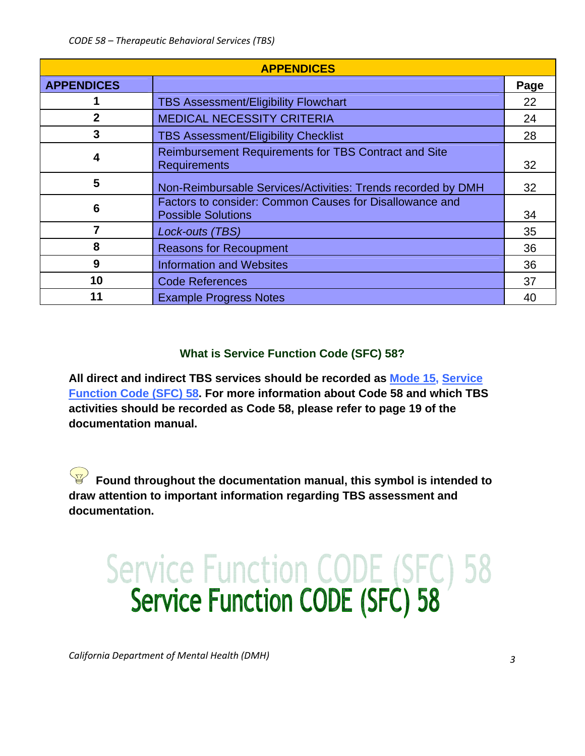| <b>APPENDICES</b> |                                                                                      |      |  |  |
|-------------------|--------------------------------------------------------------------------------------|------|--|--|
| <b>APPENDICES</b> |                                                                                      | Page |  |  |
|                   | <b>TBS Assessment/Eligibility Flowchart</b>                                          | 22   |  |  |
| $\mathbf{2}$      | <b>MEDICAL NECESSITY CRITERIA</b>                                                    | 24   |  |  |
| 3                 | <b>TBS Assessment/Eligibility Checklist</b>                                          | 28   |  |  |
| 4                 | Reimbursement Requirements for TBS Contract and Site<br><b>Requirements</b>          | 32   |  |  |
| 5                 | Non-Reimbursable Services/Activities: Trends recorded by DMH                         | 32   |  |  |
| 6                 | Factors to consider: Common Causes for Disallowance and<br><b>Possible Solutions</b> | 34   |  |  |
| 7                 | Lock-outs (TBS)                                                                      | 35   |  |  |
| 8                 | <b>Reasons for Recoupment</b>                                                        | 36   |  |  |
| 9                 | <b>Information and Websites</b>                                                      | 36   |  |  |
| 10                | <b>Code References</b>                                                               | 37   |  |  |
| 11                | <b>Example Progress Notes</b>                                                        | 40   |  |  |

# **What is Service Function Code (SFC) 58?**

**All direct and indirect TBS services should be recorded as Mode 15, Service Function Code (SFC) 58. For more information about Code 58 and which TBS activities should be recorded as Code 58, please refer to page 19 of the documentation manual.** 

**Found throughout the documentation manual, this symbol is intended to draw attention to important information regarding TBS assessment and documentation.** 

# Service Function CODE (SFC) 58<br>Service Function CODE (SFC) 58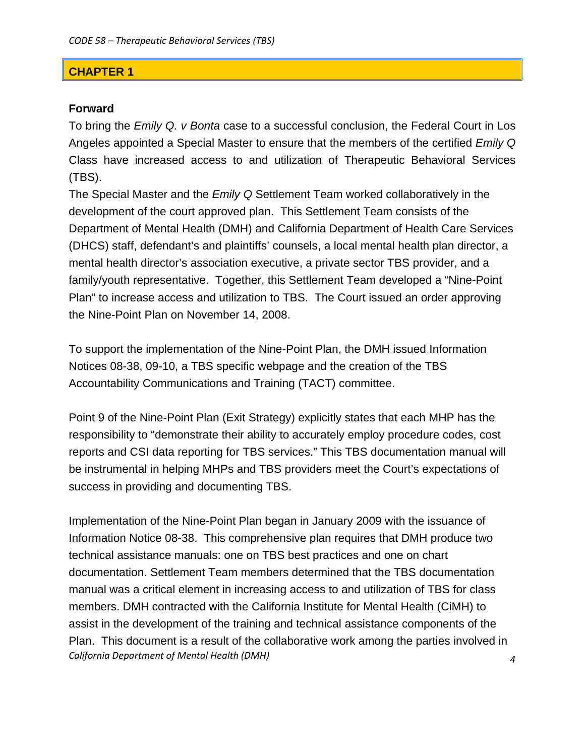## **CHAPTER 1**

## **Forward**

To bring the *Emily Q. v Bonta* case to a successful conclusion, the Federal Court in Los Angeles appointed a Special Master to ensure that the members of the certified *Emily Q* Class have increased access to and utilization of Therapeutic Behavioral Services (TBS).

The Special Master and the *Emily Q* Settlement Team worked collaboratively in the development of the court approved plan. This Settlement Team consists of the Department of Mental Health (DMH) and California Department of Health Care Services (DHCS) staff, defendant's and plaintiffs' counsels, a local mental health plan director, a mental health director's association executive, a private sector TBS provider, and a family/youth representative. Together, this Settlement Team developed a "Nine-Point Plan" to increase access and utilization to TBS. The Court issued an order approving the Nine-Point Plan on November 14, 2008.

To support the implementation of the Nine-Point Plan, the DMH issued Information Notices 08-38, 09-10, a TBS specific webpage and the creation of the TBS Accountability Communications and Training (TACT) committee.

Point 9 of the Nine-Point Plan (Exit Strategy) explicitly states that each MHP has the responsibility to "demonstrate their ability to accurately employ procedure codes, cost reports and CSI data reporting for TBS services." This TBS documentation manual will be instrumental in helping MHPs and TBS providers meet the Court's expectations of success in providing and documenting TBS.

*California Department of Mental Health (DMH) 4* Implementation of the Nine-Point Plan began in January 2009 with the issuance of Information Notice 08-38. This comprehensive plan requires that DMH produce two technical assistance manuals: one on TBS best practices and one on chart documentation. Settlement Team members determined that the TBS documentation manual was a critical element in increasing access to and utilization of TBS for class members. DMH contracted with the California Institute for Mental Health (CiMH) to assist in the development of the training and technical assistance components of the Plan. This document is a result of the collaborative work among the parties involved in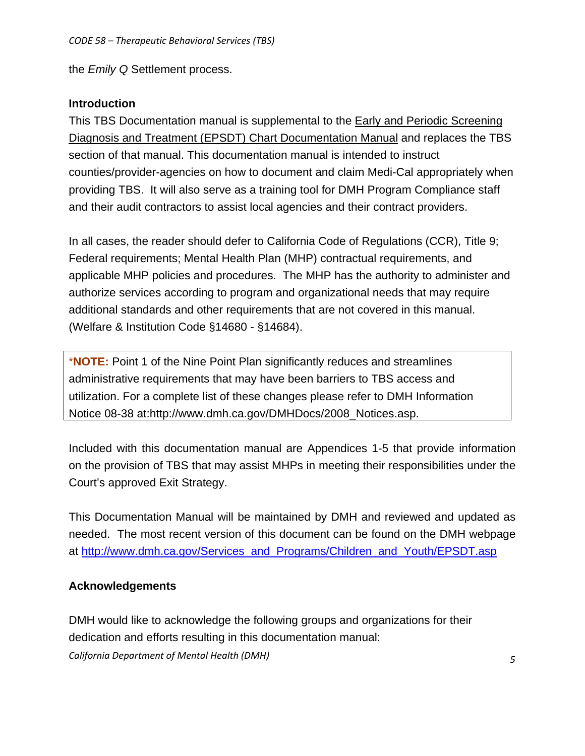the *Emily Q* Settlement process.

# **Introduction**

This TBS Documentation manual is supplemental to the Early and Periodic Screening Diagnosis and Treatment (EPSDT) Chart Documentation Manual and replaces the TBS section of that manual. This documentation manual is intended to instruct counties/provider-agencies on how to document and claim Medi-Cal appropriately when providing TBS. It will also serve as a training tool for DMH Program Compliance staff and their audit contractors to assist local agencies and their contract providers.

In all cases, the reader should defer to California Code of Regulations (CCR), Title 9; Federal requirements; Mental Health Plan (MHP) contractual requirements, and applicable MHP policies and procedures. The MHP has the authority to administer and authorize services according to program and organizational needs that may require additional standards and other requirements that are not covered in this manual. (Welfare & Institution Code §14680 - §14684).

\***NOTE:** Point 1 of the Nine Point Plan significantly reduces and streamlines administrative requirements that may have been barriers to TBS access and utilization. For a complete list of these changes please refer to DMH Information Notice 08-38 at:http://www.dmh.ca.gov/DMHDocs/2008\_Notices.asp.

Included with this documentation manual are Appendices 1-5 that provide information on the provision of TBS that may assist MHPs in meeting their responsibilities under the Court's approved Exit Strategy.

This Documentation Manual will be maintained by DMH and reviewed and updated as needed. The most recent version of this document can be found on the DMH webpage at [http://www.dmh.ca.gov/Services\\_and\\_Programs/Children\\_and\\_Youth/EPSDT.asp](http://www.dmh.ca.gov/Services_and_Programs/Children_and_Youth/EPSDT.asp)

# **Acknowledgements**

*California Department of Mental Health (DMH) 5* DMH would like to acknowledge the following groups and organizations for their dedication and efforts resulting in this documentation manual: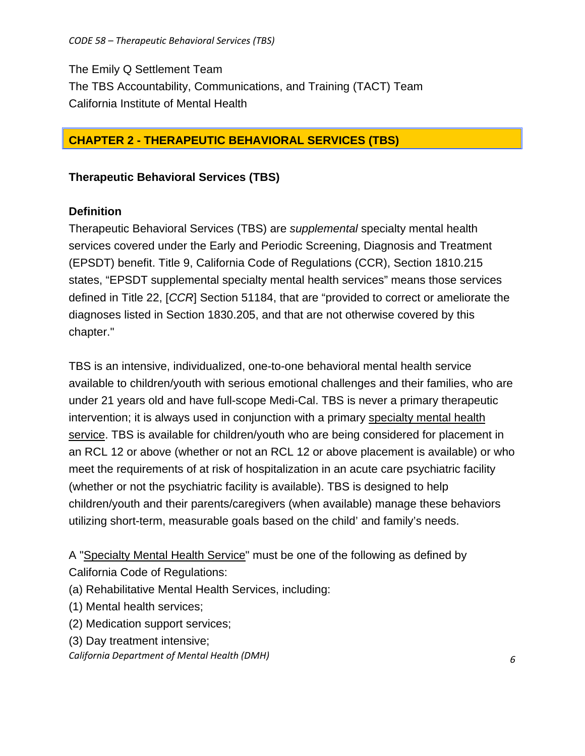The Emily Q Settlement Team The TBS Accountability, Communications, and Training (TACT) Team California Institute of Mental Health

# **CHAPTER 2 - THERAPEUTIC BEHAVIORAL SERVICES (TBS)**

# **Therapeutic Behavioral Services (TBS)**

# **Definition**

Therapeutic Behavioral Services (TBS) are *supplemental* specialty mental health services covered under the Early and Periodic Screening, Diagnosis and Treatment (EPSDT) benefit. Title 9, California Code of Regulations (CCR), Section 1810.215 states, "EPSDT supplemental specialty mental health services" means those services defined in Title 22, [*CCR*] Section 51184, that are "provided to correct or ameliorate the diagnoses listed in Section 1830.205, and that are not otherwise covered by this chapter."

TBS is an intensive, individualized, one-to-one behavioral mental health service available to children/youth with serious emotional challenges and their families, who are under 21 years old and have full-scope Medi-Cal. TBS is never a primary therapeutic intervention; it is always used in conjunction with a primary specialty mental health service. TBS is available for children/youth who are being considered for placement in an RCL 12 or above (whether or not an RCL 12 or above placement is available) or who meet the requirements of at risk of hospitalization in an acute care psychiatric facility (whether or not the psychiatric facility is available). TBS is designed to help children/youth and their parents/caregivers (when available) manage these behaviors utilizing short-term, measurable goals based on the child' and family's needs.

A "Specialty Mental Health Service" must be one of the following as defined by California Code of Regulations:

- (a) Rehabilitative Mental Health Services, including:
- (1) Mental health services;
- (2) Medication support services;
- (3) Day treatment intensive;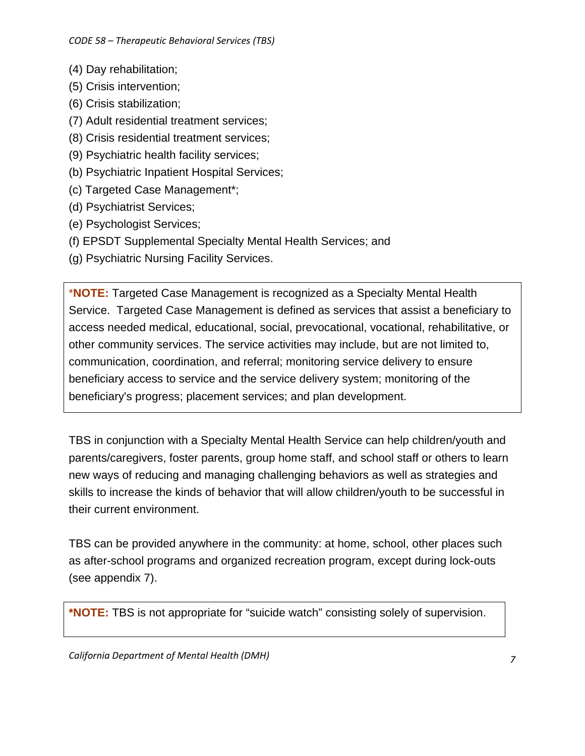- (4) Day rehabilitation;
- (5) Crisis intervention;
- (6) Crisis stabilization;
- (7) Adult residential treatment services;
- (8) Crisis residential treatment services;
- (9) Psychiatric health facility services;
- (b) Psychiatric Inpatient Hospital Services;
- (c) Targeted Case Management\*;
- (d) Psychiatrist Services;
- (e) Psychologist Services;
- (f) EPSDT Supplemental Specialty Mental Health Services; and
- (g) Psychiatric Nursing Facility Services.

\***NOTE:** Targeted Case Management is recognized as a Specialty Mental Health Service. Targeted Case Management is defined as services that assist a beneficiary to access needed medical, educational, social, prevocational, vocational, rehabilitative, or other community services. The service activities may include, but are not limited to, communication, coordination, and referral; monitoring service delivery to ensure beneficiary access to service and the service delivery system; monitoring of the beneficiary's progress; placement services; and plan development.

TBS in conjunction with a Specialty Mental Health Service can help children/youth and parents/caregivers, foster parents, group home staff, and school staff or others to learn new ways of reducing and managing challenging behaviors as well as strategies and skills to increase the kinds of behavior that will allow children/youth to be successful in their current environment.

TBS can be provided anywhere in the community: at home, school, other places such as after-school programs and organized recreation program, except during lock-outs (see appendix 7).

**\*NOTE:** TBS is not appropriate for "suicide watch" consisting solely of supervision.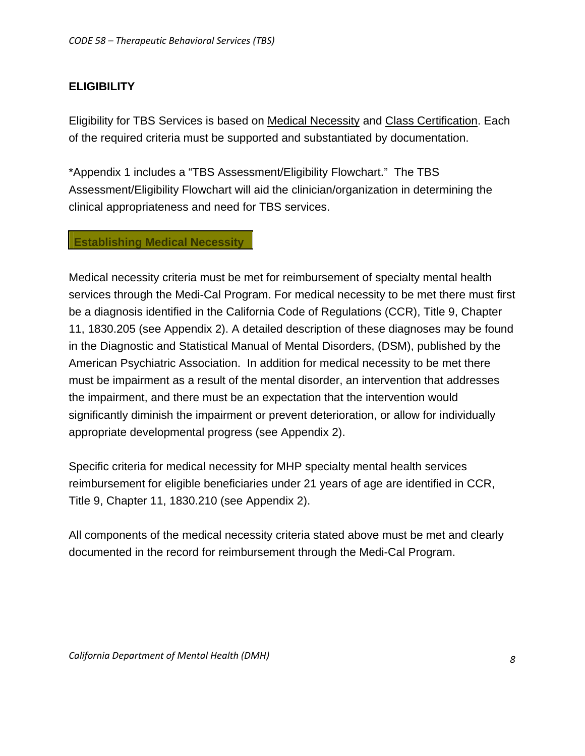# **ELIGIBILITY**

Eligibility for TBS Services is based on Medical Necessity and Class Certification. Each of the required criteria must be supported and substantiated by documentation.

\*Appendix 1 includes a "TBS Assessment/Eligibility Flowchart." The TBS Assessment/Eligibility Flowchart will aid the clinician/organization in determining the clinical appropriateness and need for TBS services.

## **Establishing Medical Necessity**

Medical necessity criteria must be met for reimbursement of specialty mental health services through the Medi-Cal Program. For medical necessity to be met there must first be a diagnosis identified in the California Code of Regulations (CCR), Title 9, Chapter 11, 1830.205 (see Appendix 2). A detailed description of these diagnoses may be found in the Diagnostic and Statistical Manual of Mental Disorders, (DSM), published by the American Psychiatric Association. In addition for medical necessity to be met there must be impairment as a result of the mental disorder, an intervention that addresses the impairment, and there must be an expectation that the intervention would significantly diminish the impairment or prevent deterioration, or allow for individually appropriate developmental progress (see Appendix 2).

Specific criteria for medical necessity for MHP specialty mental health services reimbursement for eligible beneficiaries under 21 years of age are identified in CCR, Title 9, Chapter 11, 1830.210 (see Appendix 2).

All components of the medical necessity criteria stated above must be met and clearly documented in the record for reimbursement through the Medi-Cal Program.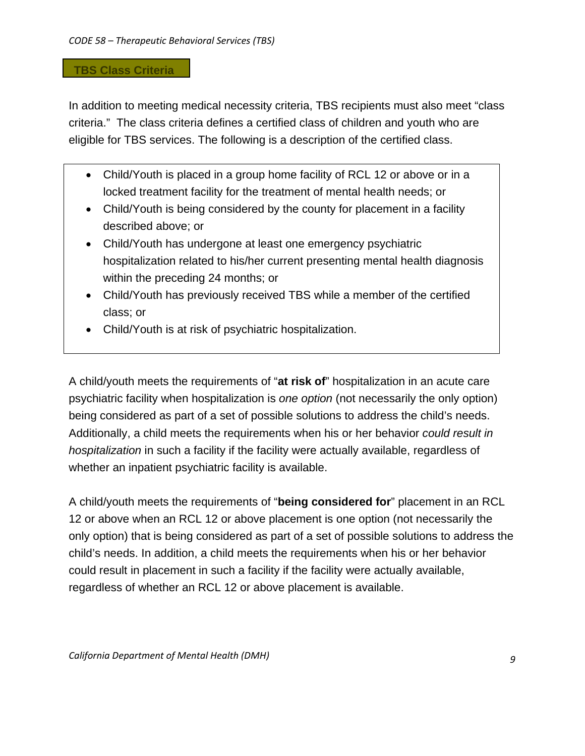## **TBS Class Criteria**

In addition to meeting medical necessity criteria, TBS recipients must also meet "class criteria." The class criteria defines a certified class of children and youth who are eligible for TBS services. The following is a description of the certified class.

- Child/Youth is placed in a group home facility of RCL 12 or above or in a locked treatment facility for the treatment of mental health needs; or
- Child/Youth is being considered by the county for placement in a facility described above; or
- Child/Youth has undergone at least one emergency psychiatric hospitalization related to his/her current presenting mental health diagnosis within the preceding 24 months; or
- Child/Youth has previously received TBS while a member of the certified class; or
- Child/Youth is at risk of psychiatric hospitalization.

A child/youth meets the requirements of "**at risk of**" hospitalization in an acute care psychiatric facility when hospitalization is *one option* (not necessarily the only option) being considered as part of a set of possible solutions to address the child's needs. Additionally, a child meets the requirements when his or her behavior *could result in hospitalization* in such a facility if the facility were actually available, regardless of whether an inpatient psychiatric facility is available.

A child/youth meets the requirements of "**being considered for**" placement in an RCL 12 or above when an RCL 12 or above placement is one option (not necessarily the only option) that is being considered as part of a set of possible solutions to address the child's needs. In addition, a child meets the requirements when his or her behavior could result in placement in such a facility if the facility were actually available, regardless of whether an RCL 12 or above placement is available.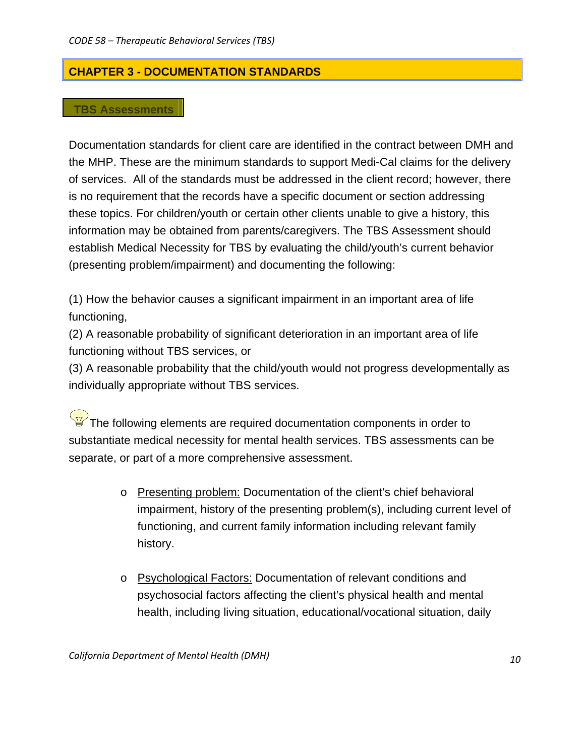# **CHAPTER 3 - DOCUMENTATION STANDARDS**

## **TBS Assessments**

Documentation standards for client care are identified in the contract between DMH and the MHP. These are the minimum standards to support Medi-Cal claims for the delivery of services. All of the standards must be addressed in the client record; however, there is no requirement that the records have a specific document or section addressing these topics. For children/youth or certain other clients unable to give a history, this information may be obtained from parents/caregivers. The TBS Assessment should establish Medical Necessity for TBS by evaluating the child/youth's current behavior (presenting problem/impairment) and documenting the following:

(1) How the behavior causes a significant impairment in an important area of life functioning,

(2) A reasonable probability of significant deterioration in an important area of life functioning without TBS services, or

(3) A reasonable probability that the child/youth would not progress developmentally as individually appropriate without TBS services.

 $\overline{\mathbb{F}}$  The following elements are required documentation components in order to substantiate medical necessity for mental health services. TBS assessments can be separate, or part of a more comprehensive assessment.

- o Presenting problem: Documentation of the client's chief behavioral impairment, history of the presenting problem(s), including current level of functioning, and current family information including relevant family history.
- o Psychological Factors: Documentation of relevant conditions and psychosocial factors affecting the client's physical health and mental health, including living situation, educational/vocational situation, daily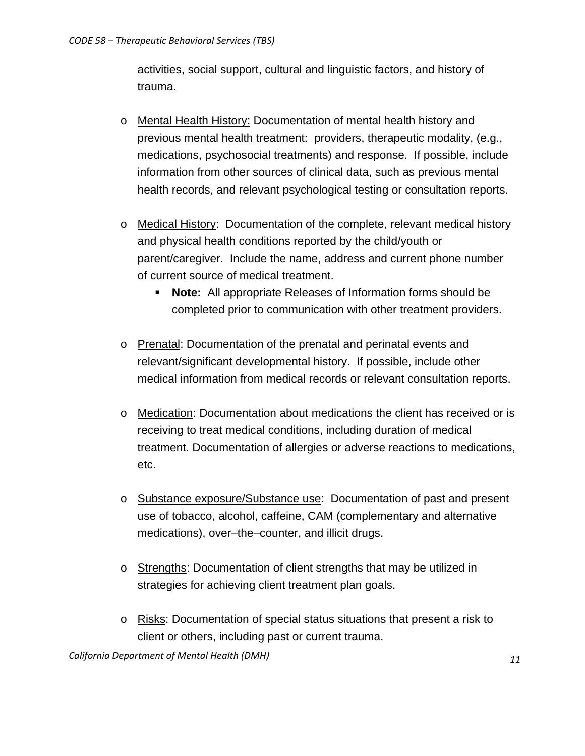activities, social support, cultural and linguistic factors, and history of trauma.

- o Mental Health History: Documentation of mental health history and previous mental health treatment: providers, therapeutic modality, (e.g., medications, psychosocial treatments) and response. If possible, include information from other sources of clinical data, such as previous mental health records, and relevant psychological testing or consultation reports.
- o Medical History: Documentation of the complete, relevant medical history and physical health conditions reported by the child/youth or parent/caregiver. Include the name, address and current phone number of current source of medical treatment.
	- **Note:** All appropriate Releases of Information forms should be completed prior to communication with other treatment providers.
- o Prenatal: Documentation of the prenatal and perinatal events and relevant/significant developmental history. If possible, include other medical information from medical records or relevant consultation reports.
- o Medication: Documentation about medications the client has received or is receiving to treat medical conditions, including duration of medical treatment. Documentation of allergies or adverse reactions to medications, etc.
- o Substance exposure/Substance use: Documentation of past and present use of tobacco, alcohol, caffeine, CAM (complementary and alternative medications), over–the–counter, and illicit drugs.
- o Strengths: Documentation of client strengths that may be utilized in strategies for achieving client treatment plan goals.
- o Risks: Documentation of special status situations that present a risk to client or others, including past or current trauma.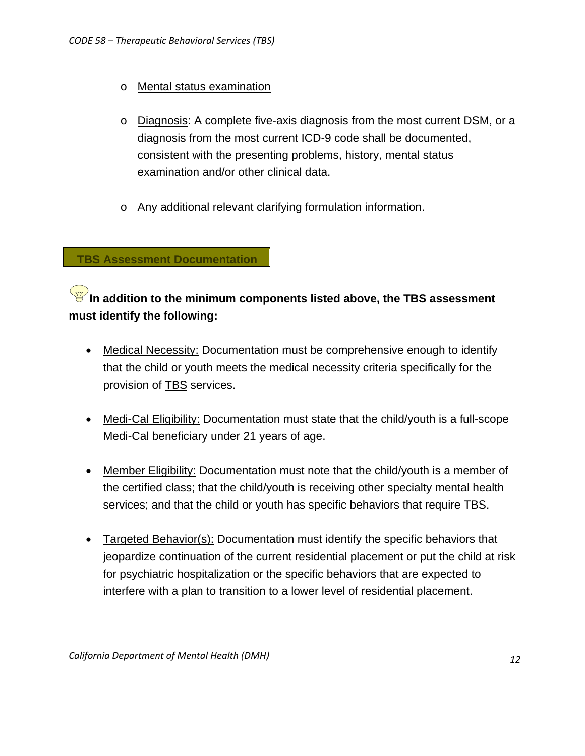- o Mental status examination
- o Diagnosis: A complete five-axis diagnosis from the most current DSM, or a diagnosis from the most current ICD-9 code shall be documented, consistent with the presenting problems, history, mental status examination and/or other clinical data.
- o Any additional relevant clarifying formulation information.

**TBS Assessment Documentation** 

# **In addition to the minimum components listed above, the TBS assessment must identify the following:**

- Medical Necessity: Documentation must be comprehensive enough to identify that the child or youth meets the medical necessity criteria specifically for the provision of TBS services.
- Medi-Cal Eligibility: Documentation must state that the child/youth is a full-scope Medi-Cal beneficiary under 21 years of age.
- Member Eligibility: Documentation must note that the child/youth is a member of the certified class; that the child/youth is receiving other specialty mental health services; and that the child or youth has specific behaviors that require TBS.
- Targeted Behavior(s): Documentation must identify the specific behaviors that jeopardize continuation of the current residential placement or put the child at risk for psychiatric hospitalization or the specific behaviors that are expected to interfere with a plan to transition to a lower level of residential placement.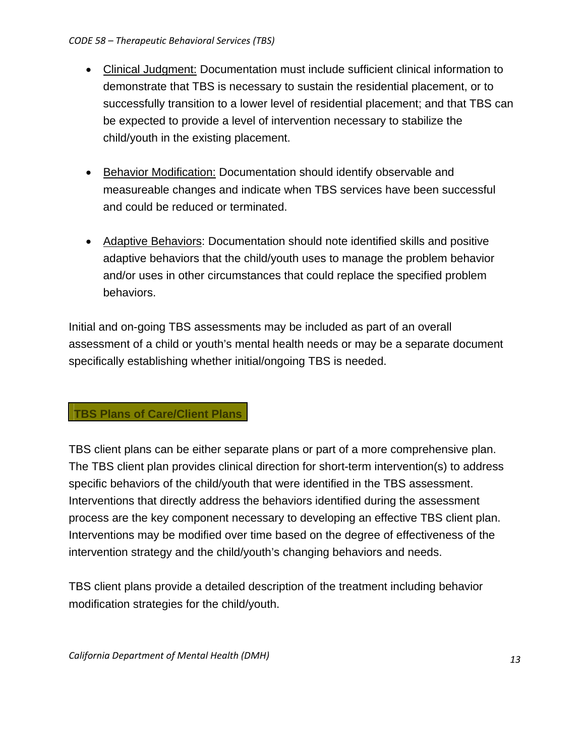- Clinical Judgment: Documentation must include sufficient clinical information to demonstrate that TBS is necessary to sustain the residential placement, or to successfully transition to a lower level of residential placement; and that TBS can be expected to provide a level of intervention necessary to stabilize the child/youth in the existing placement.
- Behavior Modification: Documentation should identify observable and measureable changes and indicate when TBS services have been successful and could be reduced or terminated.
- Adaptive Behaviors: Documentation should note identified skills and positive adaptive behaviors that the child/youth uses to manage the problem behavior and/or uses in other circumstances that could replace the specified problem behaviors.

Initial and on-going TBS assessments may be included as part of an overall assessment of a child or youth's mental health needs or may be a separate document specifically establishing whether initial/ongoing TBS is needed.

# **TBS Plans of Care/Client Plans**

TBS client plans can be either separate plans or part of a more comprehensive plan. The TBS client plan provides clinical direction for short-term intervention(s) to address specific behaviors of the child/youth that were identified in the TBS assessment. Interventions that directly address the behaviors identified during the assessment process are the key component necessary to developing an effective TBS client plan. Interventions may be modified over time based on the degree of effectiveness of the intervention strategy and the child/youth's changing behaviors and needs.

TBS client plans provide a detailed description of the treatment including behavior modification strategies for the child/youth.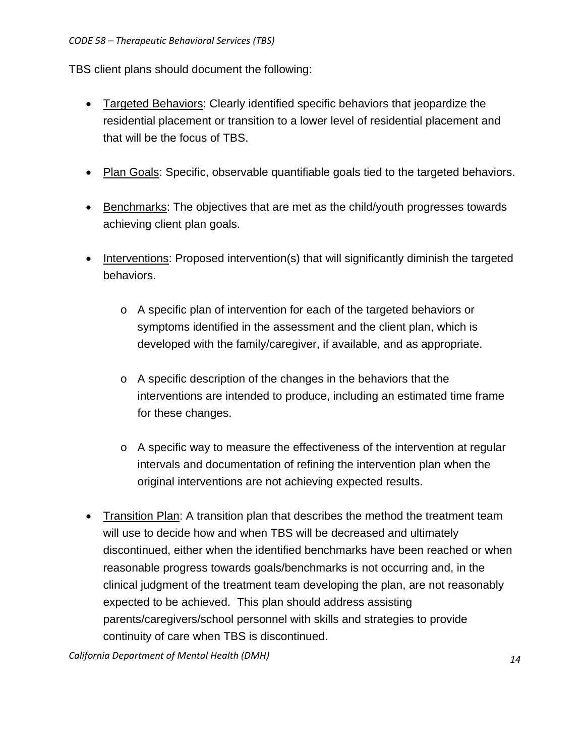TBS client plans should document the following:

- Targeted Behaviors: Clearly identified specific behaviors that jeopardize the residential placement or transition to a lower level of residential placement and that will be the focus of TBS.
- Plan Goals: Specific, observable quantifiable goals tied to the targeted behaviors.
- Benchmarks: The objectives that are met as the child/youth progresses towards achieving client plan goals.
- Interventions: Proposed intervention(s) that will significantly diminish the targeted behaviors.
	- o A specific plan of intervention for each of the targeted behaviors or symptoms identified in the assessment and the client plan, which is developed with the family/caregiver, if available, and as appropriate.
	- o A specific description of the changes in the behaviors that the interventions are intended to produce, including an estimated time frame for these changes.
	- o A specific way to measure the effectiveness of the intervention at regular intervals and documentation of refining the intervention plan when the original interventions are not achieving expected results.
- Transition Plan: A transition plan that describes the method the treatment team will use to decide how and when TBS will be decreased and ultimately discontinued, either when the identified benchmarks have been reached or when reasonable progress towards goals/benchmarks is not occurring and, in the clinical judgment of the treatment team developing the plan, are not reasonably expected to be achieved. This plan should address assisting parents/caregivers/school personnel with skills and strategies to provide continuity of care when TBS is discontinued.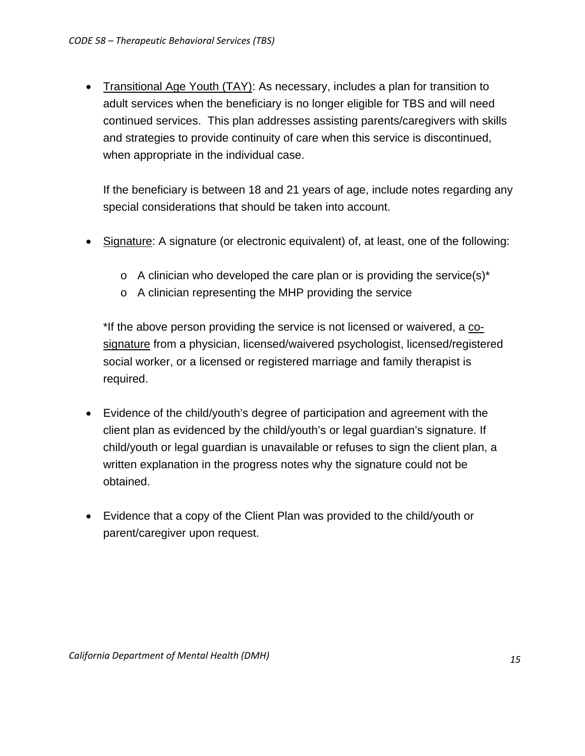• Transitional Age Youth (TAY): As necessary, includes a plan for transition to adult services when the beneficiary is no longer eligible for TBS and will need continued services. This plan addresses assisting parents/caregivers with skills and strategies to provide continuity of care when this service is discontinued, when appropriate in the individual case.

If the beneficiary is between 18 and 21 years of age, include notes regarding any special considerations that should be taken into account.

- Signature: A signature (or electronic equivalent) of, at least, one of the following:
	- $\circ$  A clinician who developed the care plan or is providing the service(s)<sup>\*</sup>
	- o A clinician representing the MHP providing the service

\*If the above person providing the service is not licensed or waivered, a cosignature from a physician, licensed/waivered psychologist, licensed/registered social worker, or a licensed or registered marriage and family therapist is required.

- Evidence of the child/youth's degree of participation and agreement with the client plan as evidenced by the child/youth's or legal guardian's signature. If child/youth or legal guardian is unavailable or refuses to sign the client plan, a written explanation in the progress notes why the signature could not be obtained.
- Evidence that a copy of the Client Plan was provided to the child/youth or parent/caregiver upon request.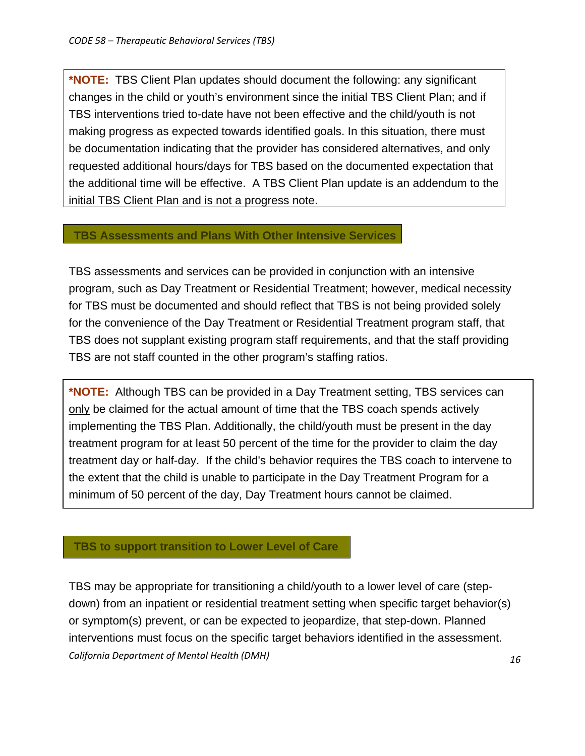**\*NOTE:** TBS Client Plan updates should document the following: any significant changes in the child or youth's environment since the initial TBS Client Plan; and if TBS interventions tried to-date have not been effective and the child/youth is not making progress as expected towards identified goals. In this situation, there must be documentation indicating that the provider has considered alternatives, and only requested additional hours/days for TBS based on the documented expectation that the additional time will be effective. A TBS Client Plan update is an addendum to the initial TBS Client Plan and is not a progress note.

## **TBS Assessments and Plans With Other Intensive Services**

TBS assessments and services can be provided in conjunction with an intensive program, such as Day Treatment or Residential Treatment; however, medical necessity for TBS must be documented and should reflect that TBS is not being provided solely for the convenience of the Day Treatment or Residential Treatment program staff, that TBS does not supplant existing program staff requirements, and that the staff providing TBS are not staff counted in the other program's staffing ratios.

**\*NOTE:** Although TBS can be provided in a Day Treatment setting, TBS services can only be claimed for the actual amount of time that the TBS coach spends actively implementing the TBS Plan. Additionally, the child/youth must be present in the day treatment program for at least 50 percent of the time for the provider to claim the day treatment day or half-day. If the child's behavior requires the TBS coach to intervene to the extent that the child is unable to participate in the Day Treatment Program for a minimum of 50 percent of the day, Day Treatment hours cannot be claimed.

## **TBS to support transition to Lower Level of Care**

*California Department of Mental Health (DMH) 1* TBS may be appropriate for transitioning a child/youth to a lower level of care (stepdown) from an inpatient or residential treatment setting when specific target behavior(s) or symptom(s) prevent, or can be expected to jeopardize, that step-down. Planned interventions must focus on the specific target behaviors identified in the assessment.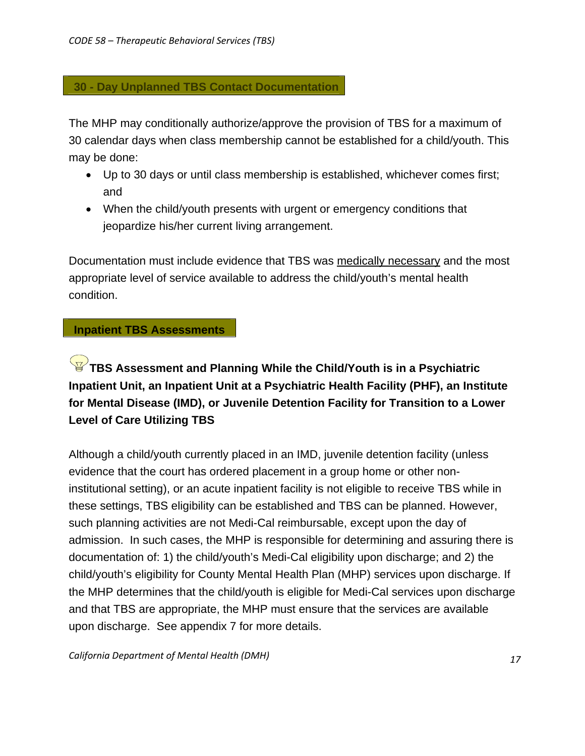## **30 - Day Unplanned TBS Contact Documentation**

The MHP may conditionally authorize/approve the provision of TBS for a maximum of 30 calendar days when class membership cannot be established for a child/youth. This may be done:

- Up to 30 days or until class membership is established, whichever comes first; and
- When the child/youth presents with urgent or emergency conditions that jeopardize his/her current living arrangement.

Documentation must include evidence that TBS was medically necessary and the most appropriate level of service available to address the child/youth's mental health condition.

## **Inpatient TBS Assessments**

# **TBS Assessment and Planning While the Child/Youth is in a Psychiatric Inpatient Unit, an Inpatient Unit at a Psychiatric Health Facility (PHF), an Institute for Mental Disease (IMD), or Juvenile Detention Facility for Transition to a Lower Level of Care Utilizing TBS**

Although a child/youth currently placed in an IMD, juvenile detention facility (unless evidence that the court has ordered placement in a group home or other noninstitutional setting), or an acute inpatient facility is not eligible to receive TBS while in these settings, TBS eligibility can be established and TBS can be planned. However, such planning activities are not Medi-Cal reimbursable, except upon the day of admission. In such cases, the MHP is responsible for determining and assuring there is documentation of: 1) the child/youth's Medi-Cal eligibility upon discharge; and 2) the child/youth's eligibility for County Mental Health Plan (MHP) services upon discharge. If the MHP determines that the child/youth is eligible for Medi-Cal services upon discharge and that TBS are appropriate, the MHP must ensure that the services are available upon discharge. See appendix 7 for more details.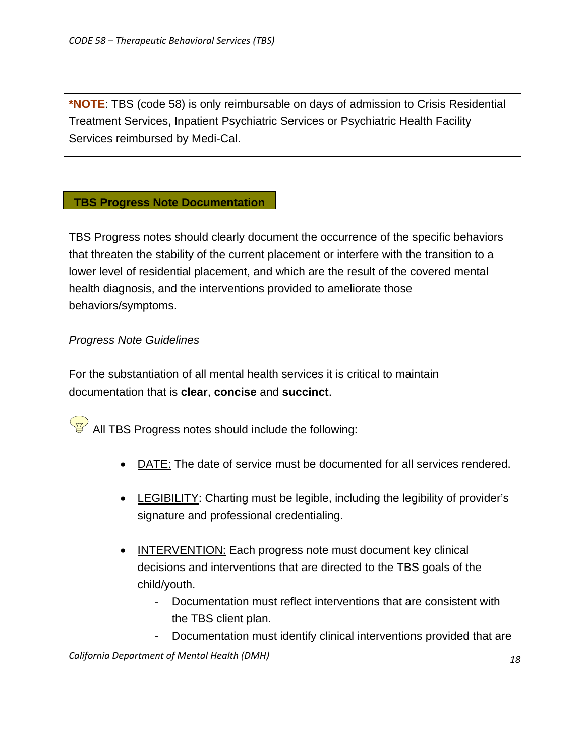**\*NOTE**: TBS (code 58) is only reimbursable on days of admission to Crisis Residential Treatment Services, Inpatient Psychiatric Services or Psychiatric Health Facility Services reimbursed by Medi-Cal.

## **TBS Progress Note Documentation**

TBS Progress notes should clearly document the occurrence of the specific behaviors that threaten the stability of the current placement or interfere with the transition to a lower level of residential placement, and which are the result of the covered mental health diagnosis, and the interventions provided to ameliorate those behaviors/symptoms.

# *Progress Note Guidelines*

For the substantiation of all mental health services it is critical to maintain documentation that is **clear**, **concise** and **succinct**.

 $\sqrt{\frac{1}{6}}$  All TBS Progress notes should include the following:

- DATE: The date of service must be documented for all services rendered.
- LEGIBILITY: Charting must be legible, including the legibility of provider's signature and professional credentialing.
- INTERVENTION: Each progress note must document key clinical decisions and interventions that are directed to the TBS goals of the child/youth.
	- Documentation must reflect interventions that are consistent with the TBS client plan.
	- Documentation must identify clinical interventions provided that are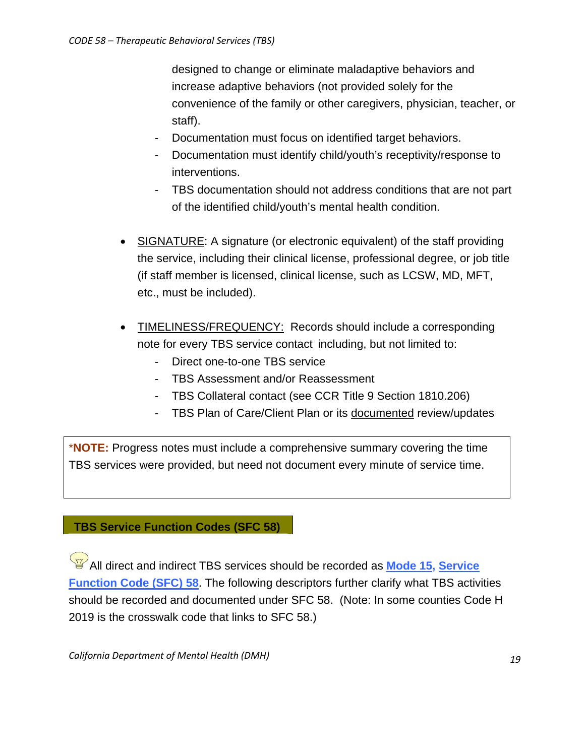designed to change or eliminate maladaptive behaviors and increase adaptive behaviors (not provided solely for the convenience of the family or other caregivers, physician, teacher, or staff).

- Documentation must focus on identified target behaviors.
- Documentation must identify child/youth's receptivity/response to interventions.
- TBS documentation should not address conditions that are not part of the identified child/youth's mental health condition.
- SIGNATURE: A signature (or electronic equivalent) of the staff providing the service, including their clinical license, professional degree, or job title (if staff member is licensed, clinical license, such as LCSW, MD, MFT, etc., must be included).
- TIMELINESS/FREQUENCY: Records should include a corresponding note for every TBS service contact including, but not limited to:
	- Direct one-to-one TBS service
	- TBS Assessment and/or Reassessment
	- TBS Collateral contact (see CCR Title 9 Section 1810.206)
	- TBS Plan of Care/Client Plan or its documented review/updates

\***NOTE:** Progress notes must include a comprehensive summary covering the time TBS services were provided, but need not document every minute of service time.

## **TBS Service Function Codes (SFC 58)**

All direct and indirect TBS services should be recorded as **Mode 15, Service Function Code (SFC) 58**. The following descriptors further clarify what TBS activities should be recorded and documented under SFC 58. (Note: In some counties Code H 2019 is the crosswalk code that links to SFC 58.)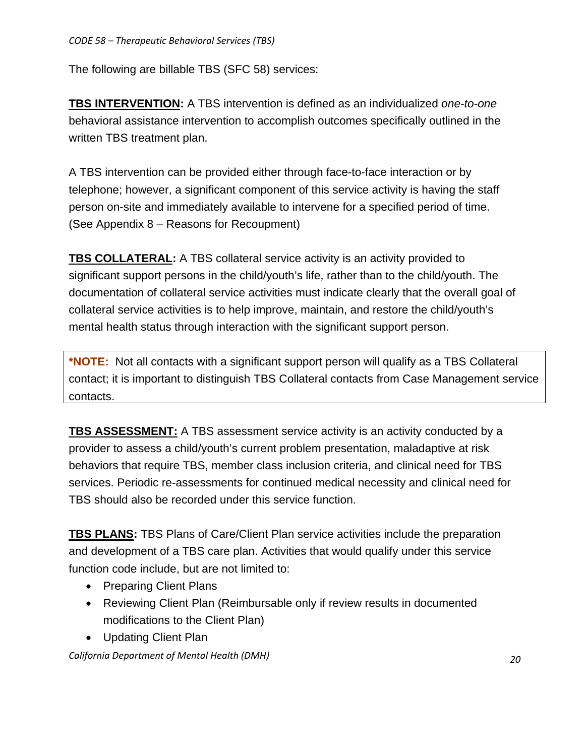The following are billable TBS (SFC 58) services:

**TBS INTERVENTION:** A TBS intervention is defined as an individualized *one-to-one*  behavioral assistance intervention to accomplish outcomes specifically outlined in the written TBS treatment plan.

A TBS intervention can be provided either through face-to-face interaction or by telephone; however, a significant component of this service activity is having the staff person on-site and immediately available to intervene for a specified period of time. (See Appendix 8 – Reasons for Recoupment)

**TBS COLLATERAL:** A TBS collateral service activity is an activity provided to significant support persons in the child/youth's life, rather than to the child/youth. The documentation of collateral service activities must indicate clearly that the overall goal of collateral service activities is to help improve, maintain, and restore the child/youth's mental health status through interaction with the significant support person.

**\*NOTE:** Not all contacts with a significant support person will qualify as a TBS Collateral contact; it is important to distinguish TBS Collateral contacts from Case Management service contacts.

**TBS ASSESSMENT:** A TBS assessment service activity is an activity conducted by a provider to assess a child/youth's current problem presentation, maladaptive at risk behaviors that require TBS, member class inclusion criteria, and clinical need for TBS services. Periodic re-assessments for continued medical necessity and clinical need for TBS should also be recorded under this service function.

**TBS PLANS:** TBS Plans of Care/Client Plan service activities include the preparation and development of a TBS care plan. Activities that would qualify under this service function code include, but are not limited to:

- Preparing Client Plans
- Reviewing Client Plan (Reimbursable only if review results in documented modifications to the Client Plan)
- Updating Client Plan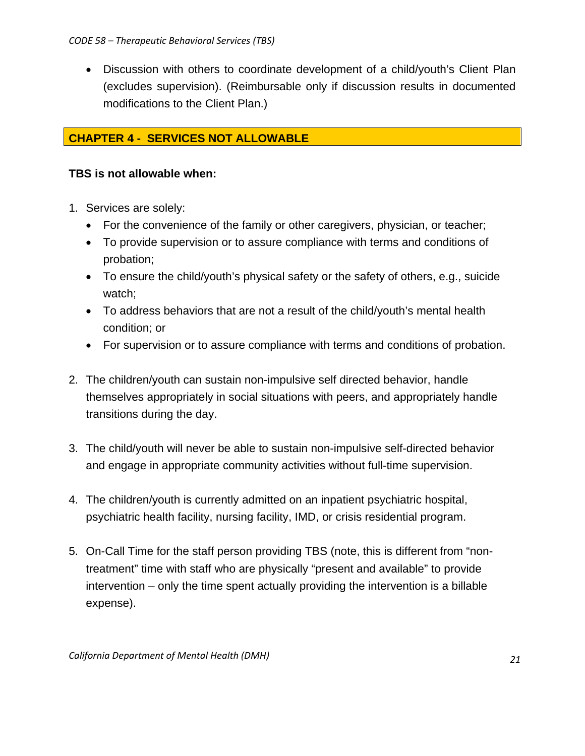• Discussion with others to coordinate development of a child/youth's Client Plan (excludes supervision). (Reimbursable only if discussion results in documented modifications to the Client Plan.)

# **CHAPTER 4 - SERVICES NOT ALLOWABLE**

# **TBS is not allowable when:**

- 1. Services are solely:
	- For the convenience of the family or other caregivers, physician, or teacher;
	- To provide supervision or to assure compliance with terms and conditions of probation;
	- To ensure the child/youth's physical safety or the safety of others, e.g., suicide watch;
	- To address behaviors that are not a result of the child/youth's mental health condition; or
	- For supervision or to assure compliance with terms and conditions of probation.
- 2. The children/youth can sustain non-impulsive self directed behavior, handle themselves appropriately in social situations with peers, and appropriately handle transitions during the day.
- 3. The child/youth will never be able to sustain non-impulsive self-directed behavior and engage in appropriate community activities without full-time supervision.
- 4. The children/youth is currently admitted on an inpatient psychiatric hospital, psychiatric health facility, nursing facility, IMD, or crisis residential program.
- 5. On-Call Time for the staff person providing TBS (note, this is different from "nontreatment" time with staff who are physically "present and available" to provide intervention – only the time spent actually providing the intervention is a billable expense).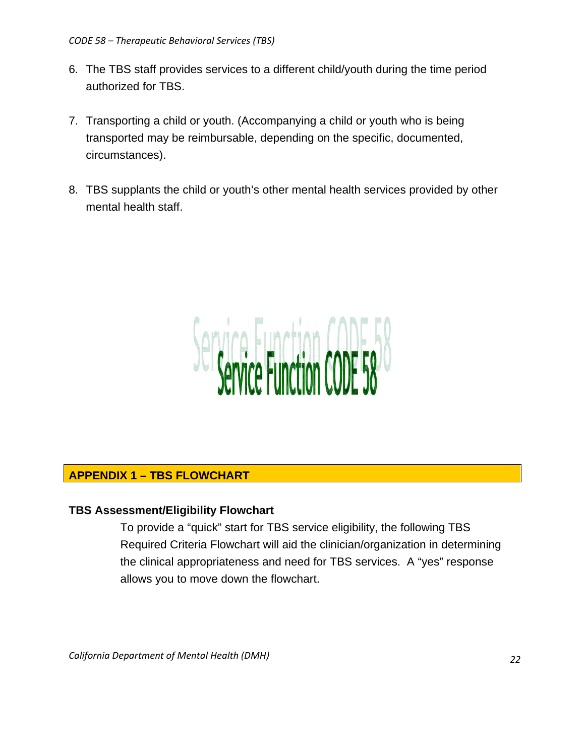#### *CODE 58 – Therapeutic Behavioral Services (TBS)*

- 6. The TBS staff provides services to a different child/youth during the time period authorized for TBS.
- 7. Transporting a child or youth. (Accompanying a child or youth who is being transported may be reimbursable, depending on the specific, documented, circumstances).
- 8. TBS supplants the child or youth's other mental health services provided by other mental health staff.



## **APPENDIX 1 – TBS FLOWCHART**

## **TBS Assessment/Eligibility Flowchart**

To provide a "quick" start for TBS service eligibility, the following TBS Required Criteria Flowchart will aid the clinician/organization in determining the clinical appropriateness and need for TBS services. A "yes" response allows you to move down the flowchart.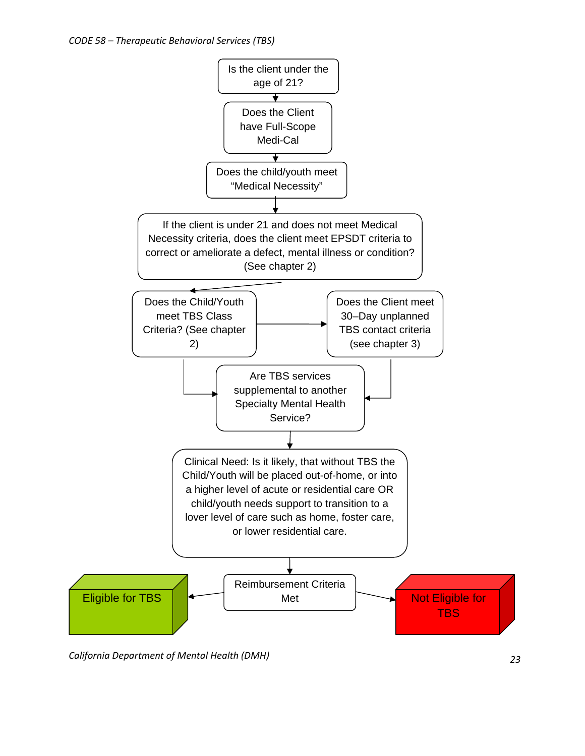

*California Department of Mental Health (DMH) 23*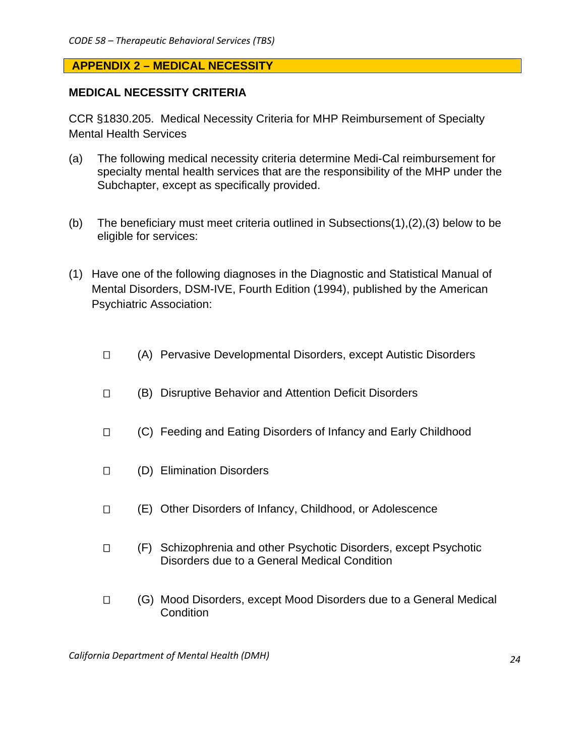## **APPENDIX 2 – MEDICAL NECESSITY**

## **MEDICAL NECESSITY CRITERIA**

CCR §1830.205. Medical Necessity Criteria for MHP Reimbursement of Specialty Mental Health Services

- (a) The following medical necessity criteria determine Medi-Cal reimbursement for specialty mental health services that are the responsibility of the MHP under the Subchapter, except as specifically provided.
- (b) The beneficiary must meet criteria outlined in Subsections(1),(2),(3) below to be eligible for services:
- (1) Have one of the following diagnoses in the Diagnostic and Statistical Manual of Mental Disorders, DSM-IVE, Fourth Edition (1994), published by the American Psychiatric Association:
	- (A) Pervasive Developmental Disorders, except Autistic Disorders
	- (B) Disruptive Behavior and Attention Deficit Disorders
	- □ (C) Feeding and Eating Disorders of Infancy and Early Childhood
	- (D) Elimination Disorders
	- (E) Other Disorders of Infancy, Childhood, or Adolescence
	- (F) Schizophrenia and other Psychotic Disorders, except Psychotic Disorders due to a General Medical Condition
	- (G) Mood Disorders, except Mood Disorders due to a General Medical Condition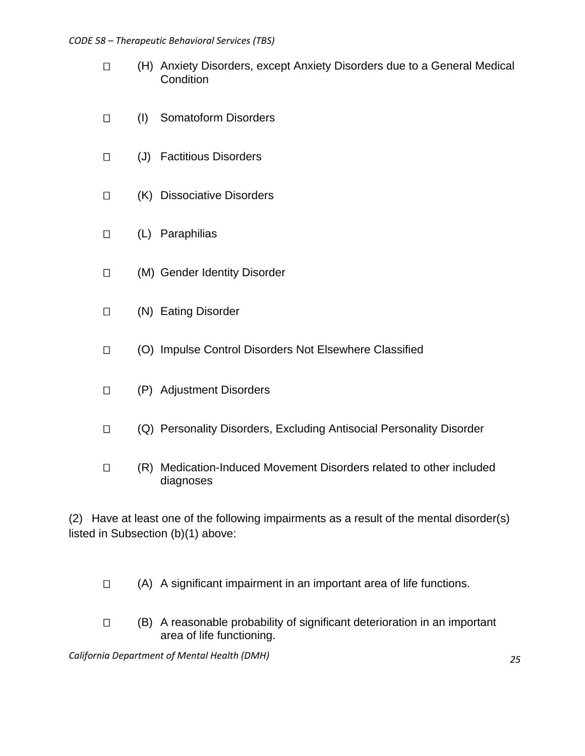#### *CODE 58 – Therapeutic Behavioral Services (TBS)*

- (H) Anxiety Disorders, except Anxiety Disorders due to a General Medical **Condition**
- (I) Somatoform Disorders
- (J) Factitious Disorders
- (K) Dissociative Disorders
- (L) Paraphilias
- (M) Gender Identity Disorder
- (N) Eating Disorder
- (O) Impulse Control Disorders Not Elsewhere Classified
- (P) Adjustment Disorders
- (Q) Personality Disorders, Excluding Antisocial Personality Disorder
- (R) Medication-Induced Movement Disorders related to other included diagnoses

(2) Have at least one of the following impairments as a result of the mental disorder(s) listed in Subsection (b)(1) above:

- $\Box$  (A) A significant impairment in an important area of life functions.
- $\Box$  (B) A reasonable probability of significant deterioration in an important area of life functioning.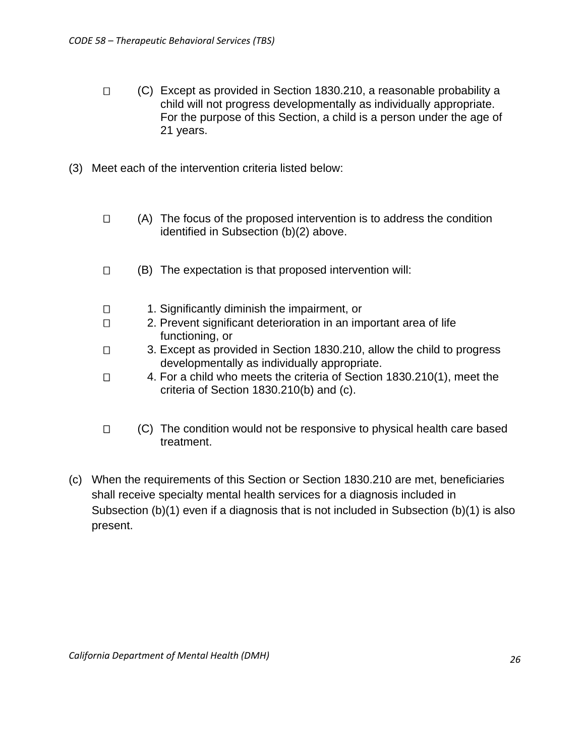- (C) Except as provided in Section 1830.210, a reasonable probability a child will not progress developmentally as individually appropriate. For the purpose of this Section, a child is a person under the age of 21 years.
- (3) Meet each of the intervention criteria listed below:
	- $\Box$  (A) The focus of the proposed intervention is to address the condition identified in Subsection (b)(2) above.
	- $\Box$  (B) The expectation is that proposed intervention will:
	- 1. Significantly diminish the impairment, or
	- □ 2. Prevent significant deterioration in an important area of life functioning, or
	- 3. Except as provided in Section 1830.210, allow the child to progress developmentally as individually appropriate.
	- □ 4. For a child who meets the criteria of Section 1830.210(1), meet the criteria of Section 1830.210(b) and (c).
	- $\Box$  (C) The condition would not be responsive to physical health care based treatment.
- (c) When the requirements of this Section or Section 1830.210 are met, beneficiaries shall receive specialty mental health services for a diagnosis included in Subsection (b)(1) even if a diagnosis that is not included in Subsection (b)(1) is also present.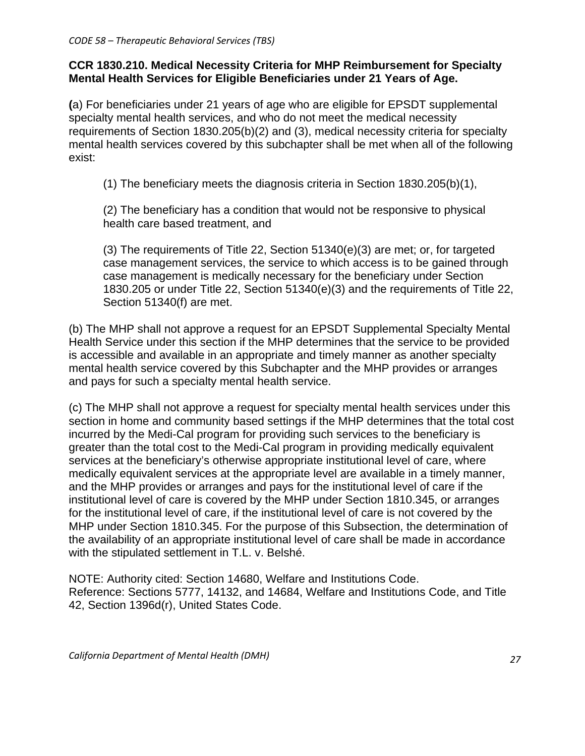# **CCR 1830.210. Medical Necessity Criteria for MHP Reimbursement for Specialty Mental Health Services for Eligible Beneficiaries under 21 Years of Age.**

**(**a) For beneficiaries under 21 years of age who are eligible for EPSDT supplemental specialty mental health services, and who do not meet the medical necessity requirements of Section 1830.205(b)(2) and (3), medical necessity criteria for specialty mental health services covered by this subchapter shall be met when all of the following exist:

(1) The beneficiary meets the diagnosis criteria in Section 1830.205(b)(1),

 (2) The beneficiary has a condition that would not be responsive to physical health care based treatment, and

 (3) The requirements of Title 22, Section 51340(e)(3) are met; or, for targeted case management services, the service to which access is to be gained through case management is medically necessary for the beneficiary under Section 1830.205 or under Title 22, Section 51340(e)(3) and the requirements of Title 22, Section 51340(f) are met.

(b) The MHP shall not approve a request for an EPSDT Supplemental Specialty Mental Health Service under this section if the MHP determines that the service to be provided is accessible and available in an appropriate and timely manner as another specialty mental health service covered by this Subchapter and the MHP provides or arranges and pays for such a specialty mental health service.

(c) The MHP shall not approve a request for specialty mental health services under this section in home and community based settings if the MHP determines that the total cost incurred by the Medi-Cal program for providing such services to the beneficiary is greater than the total cost to the Medi-Cal program in providing medically equivalent services at the beneficiary's otherwise appropriate institutional level of care, where medically equivalent services at the appropriate level are available in a timely manner, and the MHP provides or arranges and pays for the institutional level of care if the institutional level of care is covered by the MHP under Section 1810.345, or arranges for the institutional level of care, if the institutional level of care is not covered by the MHP under Section 1810.345. For the purpose of this Subsection, the determination of the availability of an appropriate institutional level of care shall be made in accordance with the stipulated settlement in T.L. v. Belshé.

NOTE: Authority cited: Section 14680, Welfare and Institutions Code. Reference: Sections 5777, 14132, and 14684, Welfare and Institutions Code, and Title 42, Section 1396d(r), United States Code.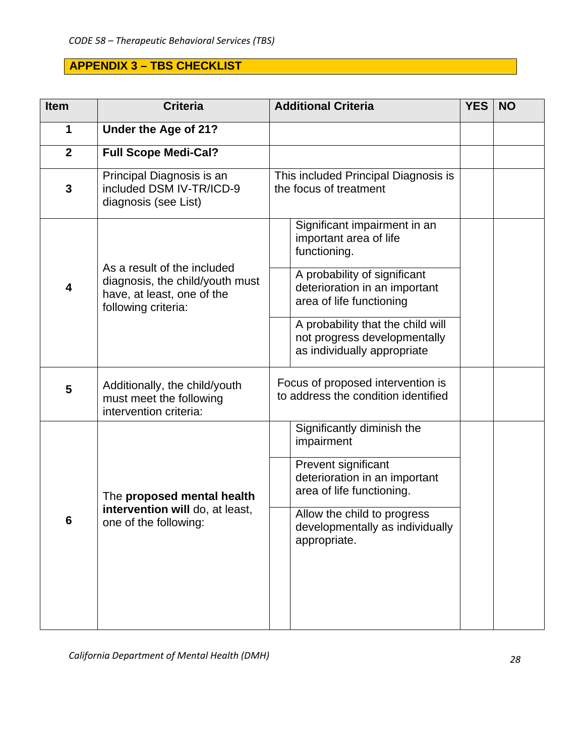# **APPENDIX 3 – TBS CHECKLIST**

| Item           | <b>Criteria</b>                                                                                                     | <b>Additional Criteria</b>                                                                       | <b>YES</b> | <b>NO</b> |
|----------------|---------------------------------------------------------------------------------------------------------------------|--------------------------------------------------------------------------------------------------|------------|-----------|
| 1              | Under the Age of 21?                                                                                                |                                                                                                  |            |           |
| $\overline{2}$ | <b>Full Scope Medi-Cal?</b>                                                                                         |                                                                                                  |            |           |
| $\mathbf{3}$   | Principal Diagnosis is an<br>included DSM IV-TR/ICD-9<br>diagnosis (see List)                                       | This included Principal Diagnosis is<br>the focus of treatment                                   |            |           |
|                |                                                                                                                     | Significant impairment in an<br>important area of life<br>functioning.                           |            |           |
| 4              | As a result of the included<br>diagnosis, the child/youth must<br>have, at least, one of the<br>following criteria: | A probability of significant<br>deterioration in an important<br>area of life functioning        |            |           |
|                |                                                                                                                     | A probability that the child will<br>not progress developmentally<br>as individually appropriate |            |           |
| 5              | Additionally, the child/youth<br>must meet the following<br>intervention criteria:                                  | Focus of proposed intervention is<br>to address the condition identified                         |            |           |
|                |                                                                                                                     | Significantly diminish the<br>impairment                                                         |            |           |
|                | The proposed mental health                                                                                          | Prevent significant<br>deterioration in an important<br>area of life functioning.                |            |           |
| 6              | intervention will do, at least,<br>one of the following:                                                            | Allow the child to progress<br>developmentally as individually<br>appropriate.                   |            |           |
|                |                                                                                                                     |                                                                                                  |            |           |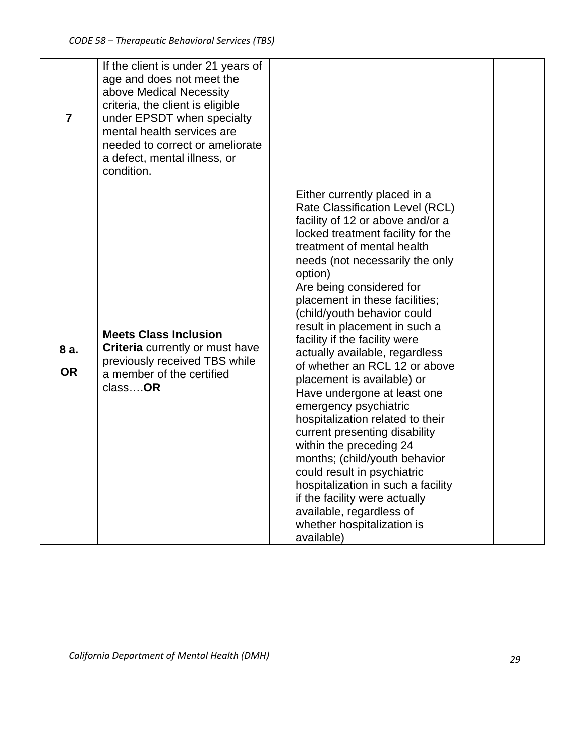| $\overline{7}$    | If the client is under 21 years of<br>age and does not meet the<br>above Medical Necessity<br>criteria, the client is eligible<br>under EPSDT when specialty<br>mental health services are<br>needed to correct or ameliorate<br>a defect, mental illness, or<br>condition. |                                                                                                                                                                                                                                                                                                                                                                                                                                                                                                                                                                                                                                                                                                                                                                                                                                                             |  |
|-------------------|-----------------------------------------------------------------------------------------------------------------------------------------------------------------------------------------------------------------------------------------------------------------------------|-------------------------------------------------------------------------------------------------------------------------------------------------------------------------------------------------------------------------------------------------------------------------------------------------------------------------------------------------------------------------------------------------------------------------------------------------------------------------------------------------------------------------------------------------------------------------------------------------------------------------------------------------------------------------------------------------------------------------------------------------------------------------------------------------------------------------------------------------------------|--|
| 8 a.<br><b>OR</b> | <b>Meets Class Inclusion</b><br>Criteria currently or must have<br>previously received TBS while<br>a member of the certified<br>classOR                                                                                                                                    | Either currently placed in a<br>Rate Classification Level (RCL)<br>facility of 12 or above and/or a<br>locked treatment facility for the<br>treatment of mental health<br>needs (not necessarily the only<br>option)<br>Are being considered for<br>placement in these facilities;<br>(child/youth behavior could<br>result in placement in such a<br>facility if the facility were<br>actually available, regardless<br>of whether an RCL 12 or above<br>placement is available) or<br>Have undergone at least one<br>emergency psychiatric<br>hospitalization related to their<br>current presenting disability<br>within the preceding 24<br>months; (child/youth behavior<br>could result in psychiatric<br>hospitalization in such a facility<br>if the facility were actually<br>available, regardless of<br>whether hospitalization is<br>available) |  |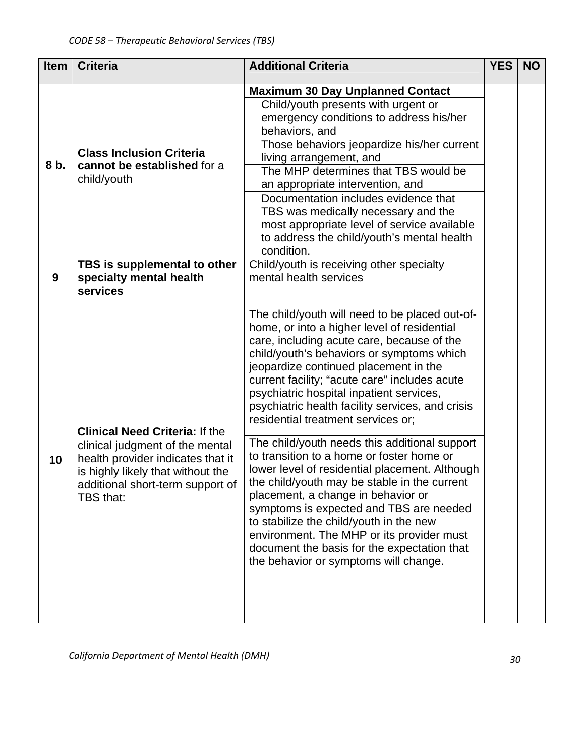| <b>Item</b> | <b>Criteria</b>                                                                                                                                                                                     | <b>Additional Criteria</b>                                                                                                                                                                                                                                                                                                                                                                                                                                                                                                                                                                                                                                                                                                                                                                                                                                                                | <b>YES</b> | <b>NO</b> |
|-------------|-----------------------------------------------------------------------------------------------------------------------------------------------------------------------------------------------------|-------------------------------------------------------------------------------------------------------------------------------------------------------------------------------------------------------------------------------------------------------------------------------------------------------------------------------------------------------------------------------------------------------------------------------------------------------------------------------------------------------------------------------------------------------------------------------------------------------------------------------------------------------------------------------------------------------------------------------------------------------------------------------------------------------------------------------------------------------------------------------------------|------------|-----------|
| 8 b.        | <b>Class Inclusion Criteria</b><br>cannot be established for a<br>child/youth                                                                                                                       | <b>Maximum 30 Day Unplanned Contact</b><br>Child/youth presents with urgent or<br>emergency conditions to address his/her<br>behaviors, and<br>Those behaviors jeopardize his/her current<br>living arrangement, and<br>The MHP determines that TBS would be<br>an appropriate intervention, and<br>Documentation includes evidence that<br>TBS was medically necessary and the<br>most appropriate level of service available<br>to address the child/youth's mental health<br>condition.                                                                                                                                                                                                                                                                                                                                                                                                |            |           |
| 9           | TBS is supplemental to other<br>specialty mental health<br>services                                                                                                                                 | Child/youth is receiving other specialty<br>mental health services                                                                                                                                                                                                                                                                                                                                                                                                                                                                                                                                                                                                                                                                                                                                                                                                                        |            |           |
| 10          | <b>Clinical Need Criteria: If the</b><br>clinical judgment of the mental<br>health provider indicates that it<br>is highly likely that without the<br>additional short-term support of<br>TBS that: | The child/youth will need to be placed out-of-<br>home, or into a higher level of residential<br>care, including acute care, because of the<br>child/youth's behaviors or symptoms which<br>jeopardize continued placement in the<br>current facility; "acute care" includes acute<br>psychiatric hospital inpatient services,<br>psychiatric health facility services, and crisis<br>residential treatment services or;<br>The child/youth needs this additional support<br>to transition to a home or foster home or<br>lower level of residential placement. Although<br>the child/youth may be stable in the current<br>placement, a change in behavior or<br>symptoms is expected and TBS are needed<br>to stabilize the child/youth in the new<br>environment. The MHP or its provider must<br>document the basis for the expectation that<br>the behavior or symptoms will change. |            |           |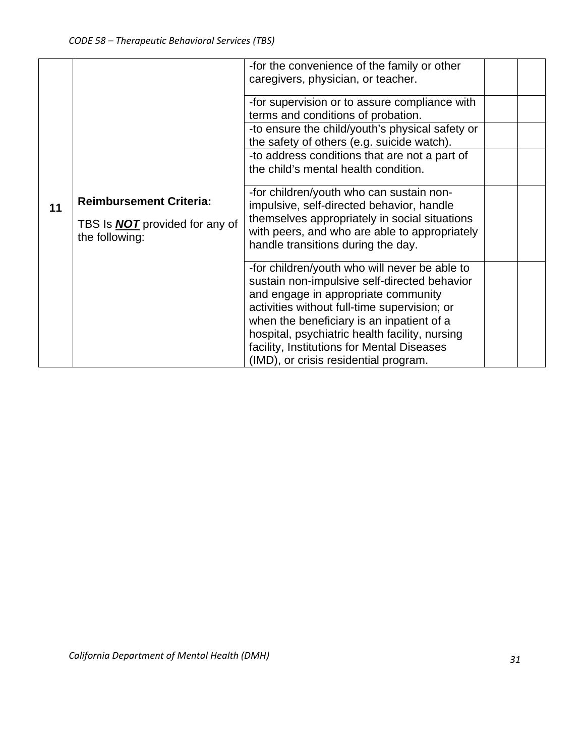|    |                                                                                           | -for the convenience of the family or other<br>caregivers, physician, or teacher.                                                                                                                                                                                                                                                                                          |  |
|----|-------------------------------------------------------------------------------------------|----------------------------------------------------------------------------------------------------------------------------------------------------------------------------------------------------------------------------------------------------------------------------------------------------------------------------------------------------------------------------|--|
|    |                                                                                           | -for supervision or to assure compliance with<br>terms and conditions of probation.                                                                                                                                                                                                                                                                                        |  |
|    |                                                                                           | -to ensure the child/youth's physical safety or<br>the safety of others (e.g. suicide watch).                                                                                                                                                                                                                                                                              |  |
|    |                                                                                           | -to address conditions that are not a part of<br>the child's mental health condition.                                                                                                                                                                                                                                                                                      |  |
| 11 | <b>Reimbursement Criteria:</b><br>TBS Is <b>NOT</b> provided for any of<br>the following: | -for children/youth who can sustain non-<br>impulsive, self-directed behavior, handle<br>themselves appropriately in social situations<br>with peers, and who are able to appropriately<br>handle transitions during the day.                                                                                                                                              |  |
|    |                                                                                           | -for children/youth who will never be able to<br>sustain non-impulsive self-directed behavior<br>and engage in appropriate community<br>activities without full-time supervision; or<br>when the beneficiary is an inpatient of a<br>hospital, psychiatric health facility, nursing<br>facility, Institutions for Mental Diseases<br>(IMD), or crisis residential program. |  |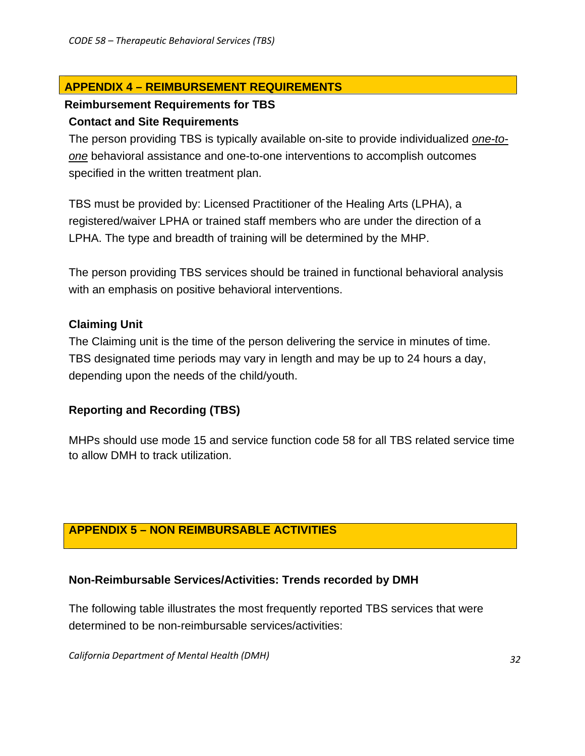# **APPENDIX 4 – REIMBURSEMENT REQUIREMENTS**

# **Reimbursement Requirements for TBS**

## **Contact and Site Requirements**

The person providing TBS is typically available on-site to provide individualized *one-toone* behavioral assistance and one-to-one interventions to accomplish outcomes specified in the written treatment plan.

TBS must be provided by: Licensed Practitioner of the Healing Arts (LPHA), a registered/waiver LPHA or trained staff members who are under the direction of a LPHA. The type and breadth of training will be determined by the MHP.

The person providing TBS services should be trained in functional behavioral analysis with an emphasis on positive behavioral interventions.

# **Claiming Unit**

The Claiming unit is the time of the person delivering the service in minutes of time. TBS designated time periods may vary in length and may be up to 24 hours a day, depending upon the needs of the child/youth.

# **Reporting and Recording (TBS)**

MHPs should use mode 15 and service function code 58 for all TBS related service time to allow DMH to track utilization.

# **APPENDIX 5 – NON REIMBURSABLE ACTIVITIES**

## **Non-Reimbursable Services/Activities: Trends recorded by DMH**

The following table illustrates the most frequently reported TBS services that were determined to be non-reimbursable services/activities: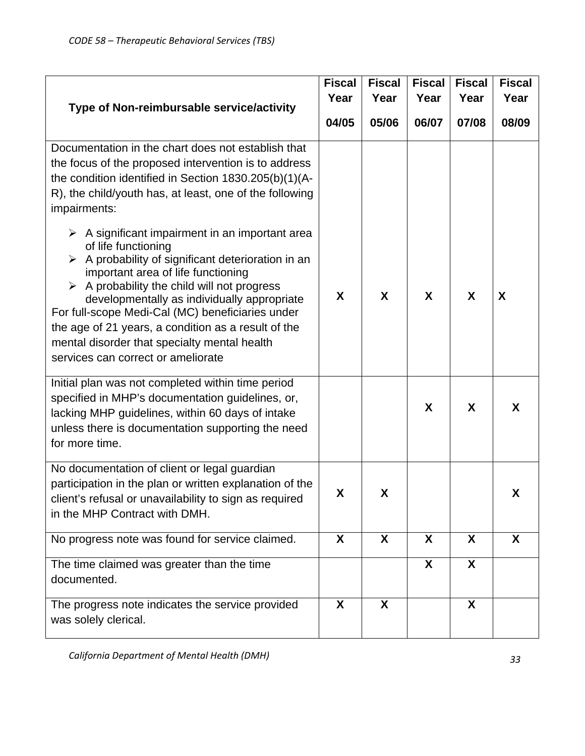| <b>Fiscal</b><br>Type of Non-reimbursable service/activity<br>04/05                                                                                                                                                                                                                                                                                                                                                                                                                                        |   | <b>Fiscal</b><br>Year | <b>Fiscal</b><br>Year | <b>Fiscal</b><br>Year | <b>Fiscal</b><br>Year |
|------------------------------------------------------------------------------------------------------------------------------------------------------------------------------------------------------------------------------------------------------------------------------------------------------------------------------------------------------------------------------------------------------------------------------------------------------------------------------------------------------------|---|-----------------------|-----------------------|-----------------------|-----------------------|
|                                                                                                                                                                                                                                                                                                                                                                                                                                                                                                            |   | 05/06                 | 06/07                 | 07/08                 | 08/09                 |
| Documentation in the chart does not establish that<br>the focus of the proposed intervention is to address<br>the condition identified in Section 1830.205(b)(1)(A-<br>R), the child/youth has, at least, one of the following<br>impairments:                                                                                                                                                                                                                                                             |   |                       |                       |                       |                       |
| $\triangleright$ A significant impairment in an important area<br>of life functioning<br>A probability of significant deterioration in an<br>$\blacktriangleright$<br>important area of life functioning<br>A probability the child will not progress<br>➤<br>developmentally as individually appropriate<br>For full-scope Medi-Cal (MC) beneficiaries under<br>the age of 21 years, a condition as a result of the<br>mental disorder that specialty mental health<br>services can correct or ameliorate | X | X                     | X                     | X                     | X                     |
| Initial plan was not completed within time period<br>specified in MHP's documentation guidelines, or,<br>lacking MHP guidelines, within 60 days of intake<br>unless there is documentation supporting the need<br>for more time.                                                                                                                                                                                                                                                                           |   |                       | X                     | X                     | X                     |
| No documentation of client or legal guardian<br>participation in the plan or written explanation of the<br>client's refusal or unavailability to sign as required<br>in the MHP Contract with DMH.                                                                                                                                                                                                                                                                                                         | X | X                     |                       |                       | X                     |
| No progress note was found for service claimed.                                                                                                                                                                                                                                                                                                                                                                                                                                                            | X | $\boldsymbol{X}$      | $\boldsymbol{X}$      | $\boldsymbol{X}$      | X                     |
| The time claimed was greater than the time<br>documented.                                                                                                                                                                                                                                                                                                                                                                                                                                                  |   |                       | X                     | X                     |                       |
| The progress note indicates the service provided<br>was solely clerical.                                                                                                                                                                                                                                                                                                                                                                                                                                   | X | X                     |                       | X                     |                       |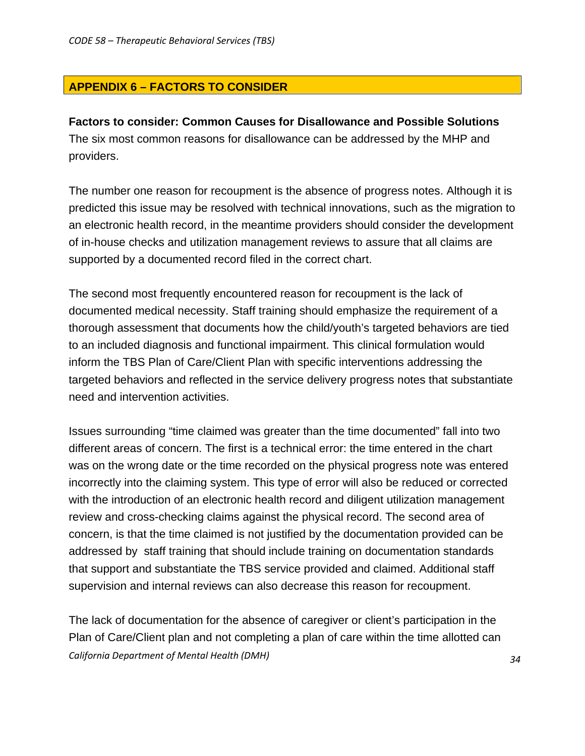# **APPENDIX 6 – FACTORS TO CONSIDER**

## **Factors to consider: Common Causes for Disallowance and Possible Solutions**

The six most common reasons for disallowance can be addressed by the MHP and providers.

The number one reason for recoupment is the absence of progress notes. Although it is predicted this issue may be resolved with technical innovations, such as the migration to an electronic health record, in the meantime providers should consider the development of in-house checks and utilization management reviews to assure that all claims are supported by a documented record filed in the correct chart.

The second most frequently encountered reason for recoupment is the lack of documented medical necessity. Staff training should emphasize the requirement of a thorough assessment that documents how the child/youth's targeted behaviors are tied to an included diagnosis and functional impairment. This clinical formulation would inform the TBS Plan of Care/Client Plan with specific interventions addressing the targeted behaviors and reflected in the service delivery progress notes that substantiate need and intervention activities.

Issues surrounding "time claimed was greater than the time documented" fall into two different areas of concern. The first is a technical error: the time entered in the chart was on the wrong date or the time recorded on the physical progress note was entered incorrectly into the claiming system. This type of error will also be reduced or corrected with the introduction of an electronic health record and diligent utilization management review and cross-checking claims against the physical record. The second area of concern, is that the time claimed is not justified by the documentation provided can be addressed by staff training that should include training on documentation standards that support and substantiate the TBS service provided and claimed. Additional staff supervision and internal reviews can also decrease this reason for recoupment.

*California Department of Mental Health (DMH) 34* The lack of documentation for the absence of caregiver or client's participation in the Plan of Care/Client plan and not completing a plan of care within the time allotted can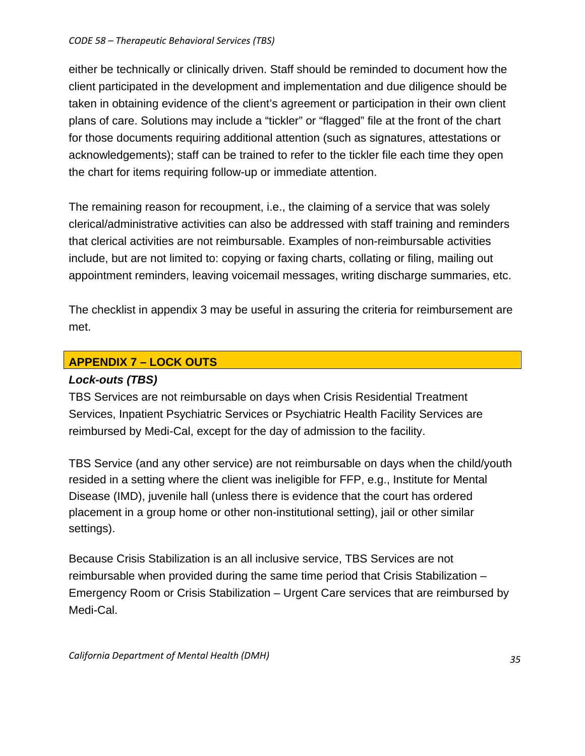## *CODE 58 – Therapeutic Behavioral Services (TBS)*

either be technically or clinically driven. Staff should be reminded to document how the client participated in the development and implementation and due diligence should be taken in obtaining evidence of the client's agreement or participation in their own client plans of care. Solutions may include a "tickler" or "flagged" file at the front of the chart for those documents requiring additional attention (such as signatures, attestations or acknowledgements); staff can be trained to refer to the tickler file each time they open the chart for items requiring follow-up or immediate attention.

The remaining reason for recoupment, i.e., the claiming of a service that was solely clerical/administrative activities can also be addressed with staff training and reminders that clerical activities are not reimbursable. Examples of non-reimbursable activities include, but are not limited to: copying or faxing charts, collating or filing, mailing out appointment reminders, leaving voicemail messages, writing discharge summaries, etc.

The checklist in appendix 3 may be useful in assuring the criteria for reimbursement are met.

# **APPENDIX 7 – LOCK OUTS**

## *Lock-outs (TBS)*

TBS Services are not reimbursable on days when Crisis Residential Treatment Services, Inpatient Psychiatric Services or Psychiatric Health Facility Services are reimbursed by Medi-Cal, except for the day of admission to the facility.

TBS Service (and any other service) are not reimbursable on days when the child/youth resided in a setting where the client was ineligible for FFP, e.g., Institute for Mental Disease (IMD), juvenile hall (unless there is evidence that the court has ordered placement in a group home or other non-institutional setting), jail or other similar settings).

Because Crisis Stabilization is an all inclusive service, TBS Services are not reimbursable when provided during the same time period that Crisis Stabilization – Emergency Room or Crisis Stabilization – Urgent Care services that are reimbursed by Medi-Cal.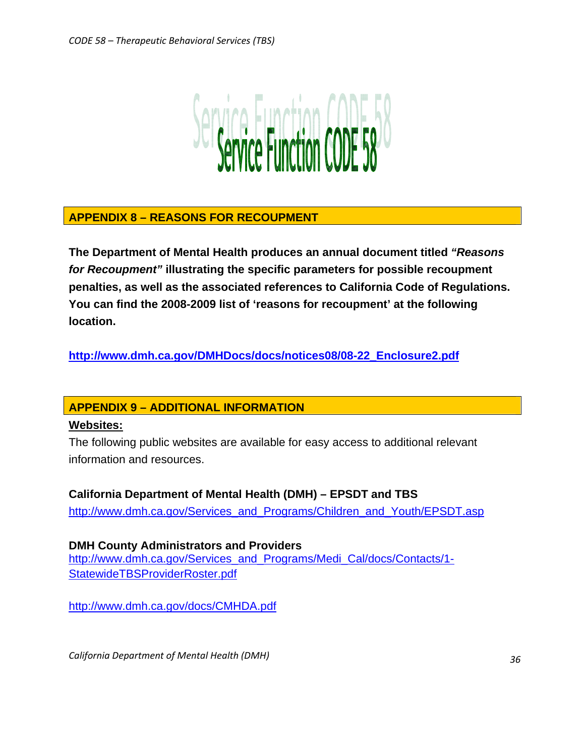

# **APPENDIX 8 – REASONS FOR RECOUPMENT**

**The Department of Mental Health produces an annual document titled** *"Reasons for Recoupment"* **illustrating the specific parameters for possible recoupment penalties, as well as the associated references to California Code of Regulations. You can find the 2008-2009 list of 'reasons for recoupment' at the following location.** 

**[http://www.dmh.ca.gov/DMHDocs/docs/notices08/08-22\\_Enclosure2.pdf](http://www.dmh.ca.gov/DMHDocs/docs/notices08/08-22_Enclosure2.pdf)**

# **APPENDIX 9 – ADDITIONAL INFORMATION**

## **Websites:**

The following public websites are available for easy access to additional relevant information and resources.

**California Department of Mental Health (DMH) – EPSDT and TBS**  [http://www.dmh.ca.gov/Services\\_and\\_Programs/Children\\_and\\_Youth/EPSDT.asp](http://www.dmh.ca.gov/Services_and_Programs/Children_and_Youth/EPSDT.asp)

**DMH County Administrators and Providers**  [http://www.dmh.ca.gov/Services\\_and\\_Programs/Medi\\_Cal/docs/Contacts/1-](http://www.dmh.ca.gov/Services_and_Programs/Medi_Cal/docs/Contacts/1-StatewideTBSProviderRoster.pdf) [StatewideTBSProviderRoster.pdf](http://www.dmh.ca.gov/Services_and_Programs/Medi_Cal/docs/Contacts/1-StatewideTBSProviderRoster.pdf)

<http://www.dmh.ca.gov/docs/CMHDA.pdf>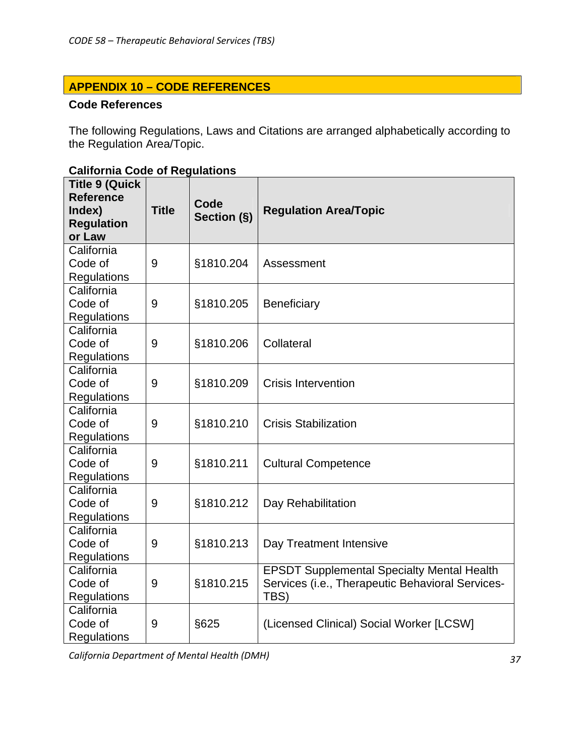# **APPENDIX 10 – CODE REFERENCES**

## **Code References**

The following Regulations, Laws and Citations are arranged alphabetically according to the Regulation Area/Topic.

| <b>Title 9 (Quick</b><br><b>Reference</b><br>Index)<br><b>Regulation</b><br>or Law | <b>Title</b> | Code<br>Section (§) | <b>Regulation Area/Topic</b>                      |
|------------------------------------------------------------------------------------|--------------|---------------------|---------------------------------------------------|
| California                                                                         |              |                     |                                                   |
| Code of                                                                            | 9            | §1810.204           | Assessment                                        |
| <b>Regulations</b>                                                                 |              |                     |                                                   |
| California                                                                         |              |                     |                                                   |
| Code of                                                                            | 9            | §1810.205           | <b>Beneficiary</b>                                |
| <b>Regulations</b>                                                                 |              |                     |                                                   |
| California                                                                         |              |                     |                                                   |
| Code of                                                                            | 9            | §1810.206           | Collateral                                        |
| <b>Regulations</b>                                                                 |              |                     |                                                   |
| California                                                                         |              |                     |                                                   |
| Code of                                                                            | 9            | §1810.209           | <b>Crisis Intervention</b>                        |
| <b>Regulations</b>                                                                 |              |                     |                                                   |
| California                                                                         |              |                     |                                                   |
| Code of                                                                            | 9            | §1810.210           | <b>Crisis Stabilization</b>                       |
| Regulations                                                                        |              |                     |                                                   |
| California                                                                         |              |                     |                                                   |
| Code of                                                                            | 9            | §1810.211           | <b>Cultural Competence</b>                        |
| <b>Regulations</b>                                                                 |              |                     |                                                   |
| California                                                                         |              |                     |                                                   |
| Code of                                                                            | 9            | §1810.212           | Day Rehabilitation                                |
| <b>Regulations</b>                                                                 |              |                     |                                                   |
| California                                                                         |              |                     |                                                   |
| Code of                                                                            | 9            | §1810.213           | Day Treatment Intensive                           |
| Regulations                                                                        |              |                     |                                                   |
| California                                                                         |              |                     | <b>EPSDT Supplemental Specialty Mental Health</b> |
| Code of                                                                            | 9            | §1810.215           | Services (i.e., Therapeutic Behavioral Services-  |
| <b>Regulations</b>                                                                 |              |                     | TBS)                                              |
| California                                                                         |              |                     |                                                   |
| Code of                                                                            | 9            | §625                | (Licensed Clinical) Social Worker [LCSW]          |
| <b>Regulations</b>                                                                 |              |                     |                                                   |

# **California Code of Regulations**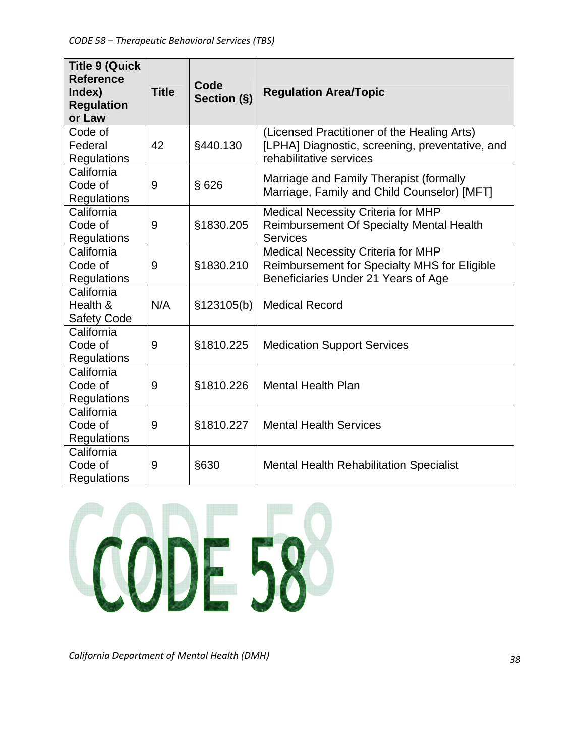| <b>Title 9 (Quick</b><br><b>Reference</b><br>Index)<br><b>Regulation</b><br>or Law | <b>Title</b> | Code<br>Section (§) | <b>Regulation Area/Topic</b>                                                                                                     |
|------------------------------------------------------------------------------------|--------------|---------------------|----------------------------------------------------------------------------------------------------------------------------------|
| Code of<br>Federal<br>Regulations                                                  | 42           | §440.130            | (Licensed Practitioner of the Healing Arts)<br>[LPHA] Diagnostic, screening, preventative, and<br>rehabilitative services        |
| California<br>Code of<br>Regulations                                               | 9            | §626                | Marriage and Family Therapist (formally<br>Marriage, Family and Child Counselor) [MFT]                                           |
| California<br>Code of<br>Regulations                                               | 9            | §1830.205           | <b>Medical Necessity Criteria for MHP</b><br><b>Reimbursement Of Specialty Mental Health</b><br><b>Services</b>                  |
| California<br>Code of<br><b>Regulations</b>                                        | 9            | §1830.210           | <b>Medical Necessity Criteria for MHP</b><br>Reimbursement for Specialty MHS for Eligible<br>Beneficiaries Under 21 Years of Age |
| California<br>Health &<br><b>Safety Code</b>                                       | N/A          | §123105(b)          | <b>Medical Record</b>                                                                                                            |
| California<br>Code of<br>Regulations                                               | 9            | §1810.225           | <b>Medication Support Services</b>                                                                                               |
| California<br>Code of<br><b>Regulations</b>                                        | 9            | §1810.226           | <b>Mental Health Plan</b>                                                                                                        |
| California<br>Code of<br>Regulations                                               | 9            | §1810.227           | <b>Mental Health Services</b>                                                                                                    |
| California<br>Code of<br>Regulations                                               | 9            | §630                | <b>Mental Health Rehabilitation Specialist</b>                                                                                   |

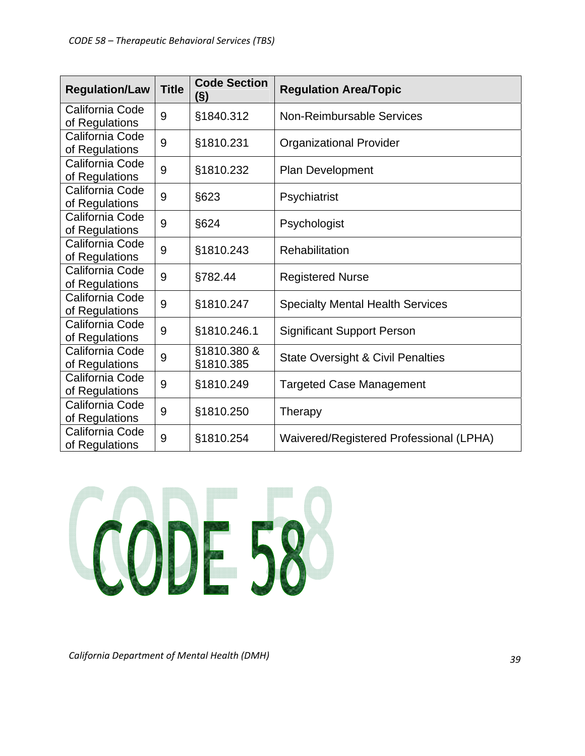| <b>Regulation/Law</b>             | <b>Title</b> | <b>Code Section</b><br>$\left( \S \right)$ | <b>Regulation Area/Topic</b>                 |  |
|-----------------------------------|--------------|--------------------------------------------|----------------------------------------------|--|
| California Code<br>of Regulations | 9            | §1840.312                                  | <b>Non-Reimbursable Services</b>             |  |
| California Code<br>of Regulations | 9            | §1810.231                                  | <b>Organizational Provider</b>               |  |
| California Code<br>of Regulations | 9            | §1810.232                                  | Plan Development                             |  |
| California Code<br>of Regulations | 9            | §623                                       | Psychiatrist                                 |  |
| California Code<br>of Regulations | 9            | §624                                       | Psychologist                                 |  |
| California Code<br>of Regulations | 9            | §1810.243                                  | Rehabilitation                               |  |
| California Code<br>of Regulations | 9            | §782.44                                    | <b>Registered Nurse</b>                      |  |
| California Code<br>of Regulations | 9            | §1810.247                                  | <b>Specialty Mental Health Services</b>      |  |
| California Code<br>of Regulations | 9            | §1810.246.1                                | <b>Significant Support Person</b>            |  |
| California Code<br>of Regulations | 9            | §1810.380 &<br>§1810.385                   | <b>State Oversight &amp; Civil Penalties</b> |  |
| California Code<br>of Regulations | 9            | §1810.249                                  | <b>Targeted Case Management</b>              |  |
| California Code<br>of Regulations | 9            | §1810.250                                  | Therapy                                      |  |
| California Code<br>of Regulations | 9            | §1810.254                                  | Waivered/Registered Professional (LPHA)      |  |

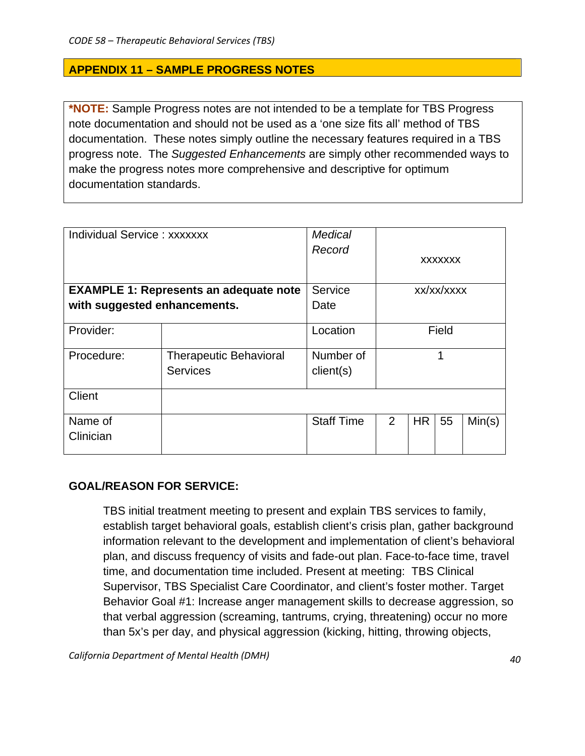## **APPENDIX 11 – SAMPLE PROGRESS NOTES**

**\*NOTE:** Sample Progress notes are not intended to be a template for TBS Progress note documentation and should not be used as a 'one size fits all' method of TBS documentation. These notes simply outline the necessary features required in a TBS progress note. The *Suggested Enhancements* are simply other recommended ways to make the progress notes more comprehensive and descriptive for optimum documentation standards.

| <b>Individual Service: xxxxxxx</b>            | Medical<br>Record             |                   |       | <b>XXXXXXX</b> |    |        |
|-----------------------------------------------|-------------------------------|-------------------|-------|----------------|----|--------|
| <b>EXAMPLE 1: Represents an adequate note</b> | Service                       |                   |       | xx/xx/xxxx     |    |        |
| with suggested enhancements.                  |                               | Date              |       |                |    |        |
| Provider:                                     |                               | Location          | Field |                |    |        |
| Procedure:                                    | <b>Therapeutic Behavioral</b> | Number of         | 1     |                |    |        |
|                                               | <b>Services</b>               | client(s)         |       |                |    |        |
| <b>Client</b>                                 |                               |                   |       |                |    |        |
| Name of                                       |                               | <b>Staff Time</b> | 2     | <b>HR</b>      | 55 | Min(s) |
| Clinician                                     |                               |                   |       |                |    |        |

## **GOAL/REASON FOR SERVICE:**

TBS initial treatment meeting to present and explain TBS services to family, establish target behavioral goals, establish client's crisis plan, gather background information relevant to the development and implementation of client's behavioral plan, and discuss frequency of visits and fade-out plan. Face-to-face time, travel time, and documentation time included. Present at meeting: TBS Clinical Supervisor, TBS Specialist Care Coordinator, and client's foster mother. Target Behavior Goal #1: Increase anger management skills to decrease aggression, so that verbal aggression (screaming, tantrums, crying, threatening) occur no more than 5x's per day, and physical aggression (kicking, hitting, throwing objects,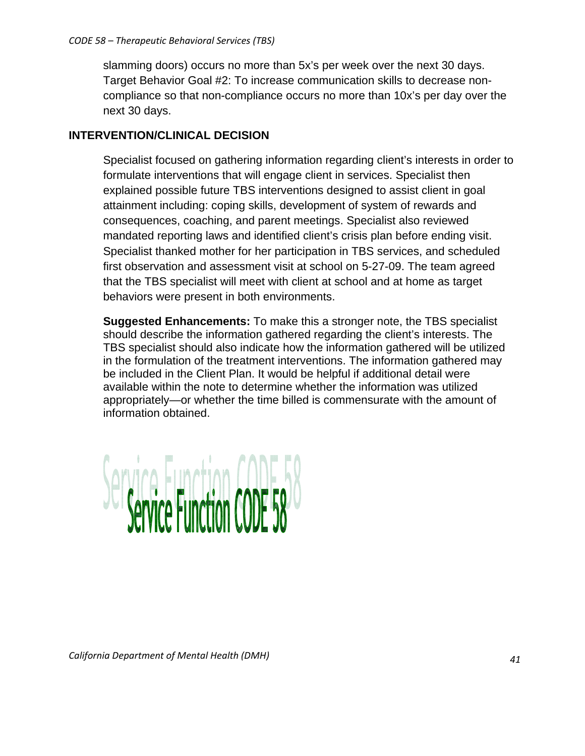slamming doors) occurs no more than 5x's per week over the next 30 days. Target Behavior Goal #2: To increase communication skills to decrease noncompliance so that non-compliance occurs no more than 10x's per day over the next 30 days.

# **INTERVENTION/CLINICAL DECISION**

Specialist focused on gathering information regarding client's interests in order to formulate interventions that will engage client in services. Specialist then explained possible future TBS interventions designed to assist client in goal attainment including: coping skills, development of system of rewards and consequences, coaching, and parent meetings. Specialist also reviewed mandated reporting laws and identified client's crisis plan before ending visit. Specialist thanked mother for her participation in TBS services, and scheduled first observation and assessment visit at school on 5-27-09. The team agreed that the TBS specialist will meet with client at school and at home as target behaviors were present in both environments.

**Suggested Enhancements:** To make this a stronger note, the TBS specialist should describe the information gathered regarding the client's interests. The TBS specialist should also indicate how the information gathered will be utilized in the formulation of the treatment interventions. The information gathered may be included in the Client Plan. It would be helpful if additional detail were available within the note to determine whether the information was utilized appropriately—or whether the time billed is commensurate with the amount of information obtained.

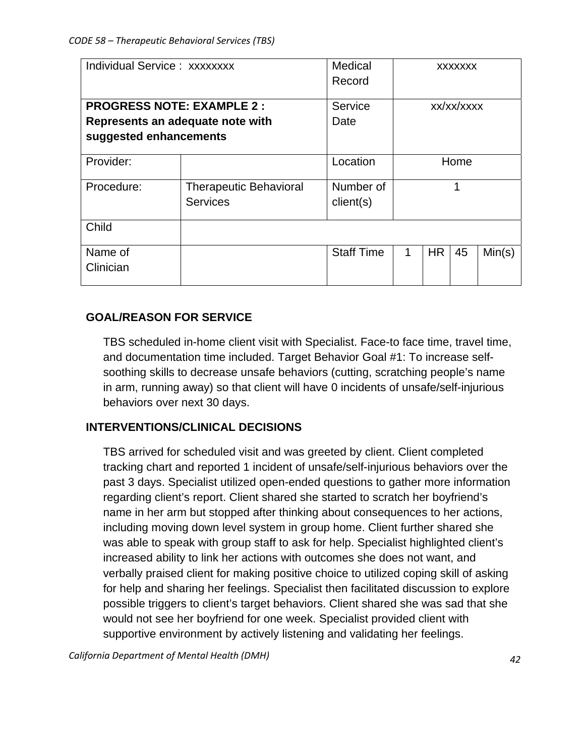|                                  | Individual Service: xxxxxxxx  |                   |            | <b>XXXXXXX</b> |      |        |  |
|----------------------------------|-------------------------------|-------------------|------------|----------------|------|--------|--|
|                                  |                               | Record            |            |                |      |        |  |
| <b>PROGRESS NOTE: EXAMPLE 2:</b> | Service                       |                   | xx/xx/xxxx |                |      |        |  |
| Represents an adequate note with | Date                          |                   |            |                |      |        |  |
| suggested enhancements           |                               |                   |            |                |      |        |  |
| Provider:                        |                               | Location          |            |                | Home |        |  |
| Procedure:                       | <b>Therapeutic Behavioral</b> | Number of         |            |                |      |        |  |
|                                  | <b>Services</b>               | client(s)         |            |                |      |        |  |
| Child                            |                               |                   |            |                |      |        |  |
| Name of                          |                               | <b>Staff Time</b> | 1          | <b>HR</b>      | 45   | Min(s) |  |
| Clinician                        |                               |                   |            |                |      |        |  |
|                                  |                               |                   |            |                |      |        |  |

# **GOAL/REASON FOR SERVICE**

TBS scheduled in-home client visit with Specialist. Face-to face time, travel time, and documentation time included. Target Behavior Goal #1: To increase selfsoothing skills to decrease unsafe behaviors (cutting, scratching people's name in arm, running away) so that client will have 0 incidents of unsafe/self-injurious behaviors over next 30 days.

# **INTERVENTIONS/CLINICAL DECISIONS**

TBS arrived for scheduled visit and was greeted by client. Client completed tracking chart and reported 1 incident of unsafe/self-injurious behaviors over the past 3 days. Specialist utilized open-ended questions to gather more information regarding client's report. Client shared she started to scratch her boyfriend's name in her arm but stopped after thinking about consequences to her actions, including moving down level system in group home. Client further shared she was able to speak with group staff to ask for help. Specialist highlighted client's increased ability to link her actions with outcomes she does not want, and verbally praised client for making positive choice to utilized coping skill of asking for help and sharing her feelings. Specialist then facilitated discussion to explore possible triggers to client's target behaviors. Client shared she was sad that she would not see her boyfriend for one week. Specialist provided client with supportive environment by actively listening and validating her feelings.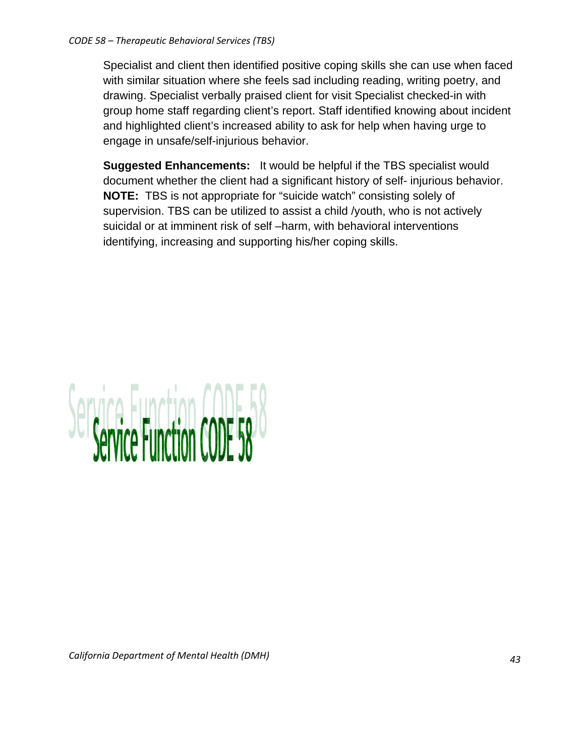#### *CODE 58 – Therapeutic Behavioral Services (TBS)*

Specialist and client then identified positive coping skills she can use when faced with similar situation where she feels sad including reading, writing poetry, and drawing. Specialist verbally praised client for visit Specialist checked-in with group home staff regarding client's report. Staff identified knowing about incident and highlighted client's increased ability to ask for help when having urge to engage in unsafe/self-injurious behavior.

**Suggested Enhancements:** It would be helpful if the TBS specialist would document whether the client had a significant history of self- injurious behavior. **NOTE:** TBS is not appropriate for "suicide watch" consisting solely of supervision. TBS can be utilized to assist a child /youth, who is not actively suicidal or at imminent risk of self –harm, with behavioral interventions identifying, increasing and supporting his/her coping skills.

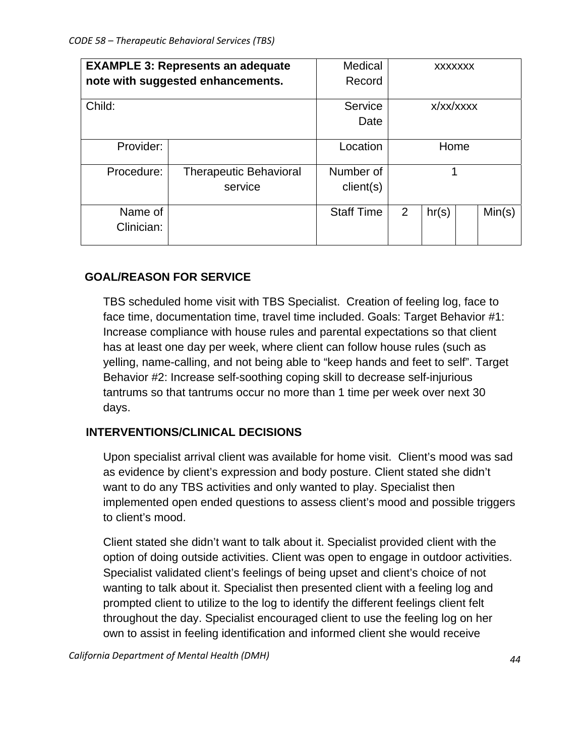| <b>EXAMPLE 3: Represents an adequate</b> |                               | Medical           | <b>XXXXXXX</b> |       |  |        |
|------------------------------------------|-------------------------------|-------------------|----------------|-------|--|--------|
| note with suggested enhancements.        |                               | Record            |                |       |  |        |
|                                          |                               |                   |                |       |  |        |
| Child:                                   |                               | Service           | x/xx/xxxx      |       |  |        |
|                                          |                               | Date              |                |       |  |        |
|                                          |                               |                   |                |       |  |        |
| Provider:                                |                               | Location          | Home           |       |  |        |
|                                          |                               |                   |                |       |  |        |
| Procedure:                               | <b>Therapeutic Behavioral</b> | Number of         |                |       |  |        |
|                                          | service                       | client(s)         |                |       |  |        |
|                                          |                               |                   |                |       |  |        |
| Name of                                  |                               | <b>Staff Time</b> | 2              | hr(s) |  | Min(s) |
| Clinician:                               |                               |                   |                |       |  |        |
|                                          |                               |                   |                |       |  |        |

# **GOAL/REASON FOR SERVICE**

TBS scheduled home visit with TBS Specialist. Creation of feeling log, face to face time, documentation time, travel time included. Goals: Target Behavior #1: Increase compliance with house rules and parental expectations so that client has at least one day per week, where client can follow house rules (such as yelling, name-calling, and not being able to "keep hands and feet to self". Target Behavior #2: Increase self-soothing coping skill to decrease self-injurious tantrums so that tantrums occur no more than 1 time per week over next 30 days.

## **INTERVENTIONS/CLINICAL DECISIONS**

Upon specialist arrival client was available for home visit. Client's mood was sad as evidence by client's expression and body posture. Client stated she didn't want to do any TBS activities and only wanted to play. Specialist then implemented open ended questions to assess client's mood and possible triggers to client's mood.

Client stated she didn't want to talk about it. Specialist provided client with the option of doing outside activities. Client was open to engage in outdoor activities. Specialist validated client's feelings of being upset and client's choice of not wanting to talk about it. Specialist then presented client with a feeling log and prompted client to utilize to the log to identify the different feelings client felt throughout the day. Specialist encouraged client to use the feeling log on her own to assist in feeling identification and informed client she would receive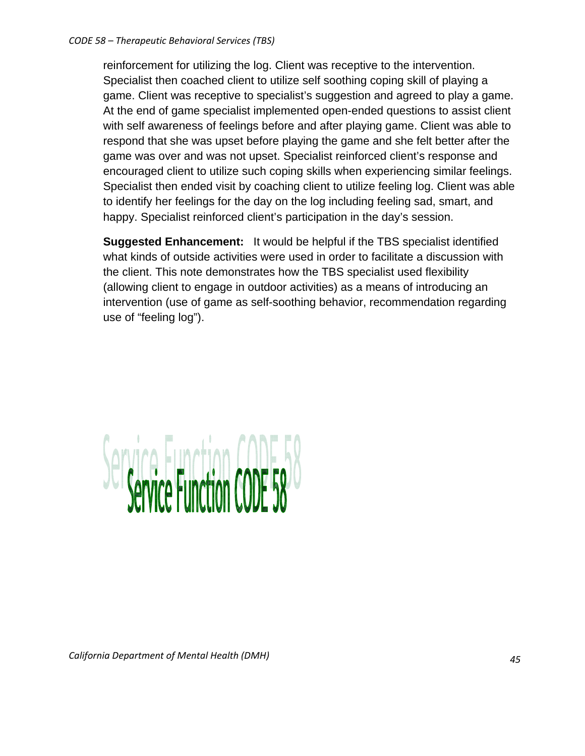reinforcement for utilizing the log. Client was receptive to the intervention. Specialist then coached client to utilize self soothing coping skill of playing a game. Client was receptive to specialist's suggestion and agreed to play a game. At the end of game specialist implemented open-ended questions to assist client with self awareness of feelings before and after playing game. Client was able to respond that she was upset before playing the game and she felt better after the game was over and was not upset. Specialist reinforced client's response and encouraged client to utilize such coping skills when experiencing similar feelings. Specialist then ended visit by coaching client to utilize feeling log. Client was able to identify her feelings for the day on the log including feeling sad, smart, and happy. Specialist reinforced client's participation in the day's session.

**Suggested Enhancement:** It would be helpful if the TBS specialist identified what kinds of outside activities were used in order to facilitate a discussion with the client. This note demonstrates how the TBS specialist used flexibility (allowing client to engage in outdoor activities) as a means of introducing an intervention (use of game as self-soothing behavior, recommendation regarding use of "feeling log").

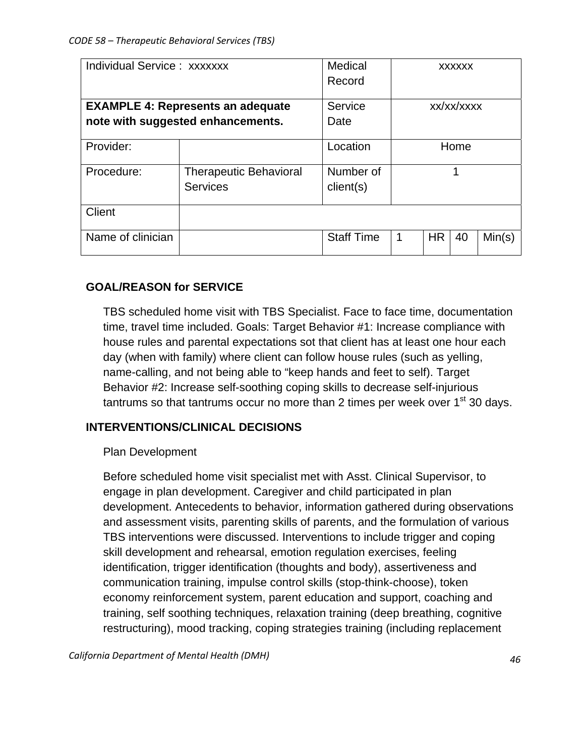| Individual Service: xxxxxxx              |                                   | Medical<br>Record | <b>XXXXXX</b> |           |      |        |
|------------------------------------------|-----------------------------------|-------------------|---------------|-----------|------|--------|
| <b>EXAMPLE 4: Represents an adequate</b> |                                   | Service           | xx/xx/xxxx    |           |      |        |
|                                          | note with suggested enhancements. | Date              |               |           |      |        |
| Provider:                                |                                   | Location          |               |           | Home |        |
| Procedure:                               | <b>Therapeutic Behavioral</b>     | Number of         | 1             |           |      |        |
|                                          | <b>Services</b>                   | client(s)         |               |           |      |        |
| Client                                   |                                   |                   |               |           |      |        |
| Name of clinician                        |                                   | <b>Staff Time</b> | 1             | <b>HR</b> | 40   | Min(s) |

# **GOAL/REASON for SERVICE**

TBS scheduled home visit with TBS Specialist. Face to face time, documentation time, travel time included. Goals: Target Behavior #1: Increase compliance with house rules and parental expectations sot that client has at least one hour each day (when with family) where client can follow house rules (such as yelling, name-calling, and not being able to "keep hands and feet to self). Target Behavior #2: Increase self-soothing coping skills to decrease self-injurious tantrums so that tantrums occur no more than 2 times per week over  $1<sup>st</sup>$  30 davs.

# **INTERVENTIONS/CLINICAL DECISIONS**

## Plan Development

Before scheduled home visit specialist met with Asst. Clinical Supervisor, to engage in plan development. Caregiver and child participated in plan development. Antecedents to behavior, information gathered during observations and assessment visits, parenting skills of parents, and the formulation of various TBS interventions were discussed. Interventions to include trigger and coping skill development and rehearsal, emotion regulation exercises, feeling identification, trigger identification (thoughts and body), assertiveness and communication training, impulse control skills (stop-think-choose), token economy reinforcement system, parent education and support, coaching and training, self soothing techniques, relaxation training (deep breathing, cognitive restructuring), mood tracking, coping strategies training (including replacement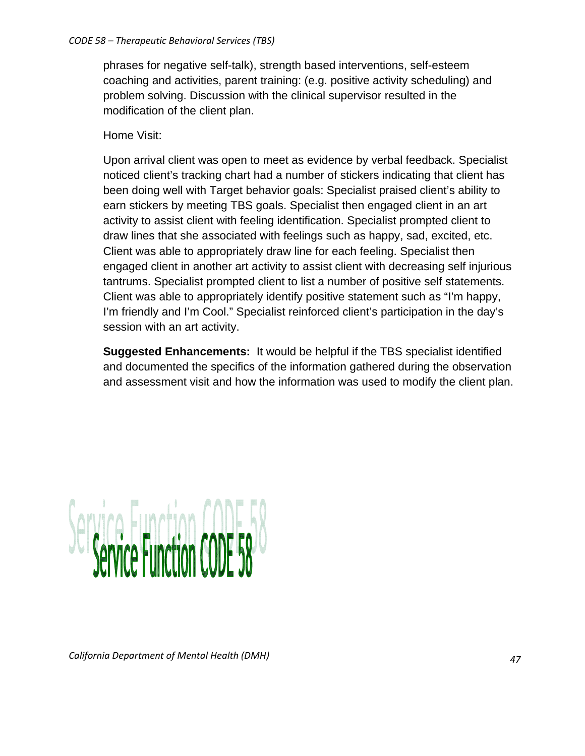phrases for negative self-talk), strength based interventions, self-esteem coaching and activities, parent training: (e.g. positive activity scheduling) and problem solving. Discussion with the clinical supervisor resulted in the modification of the client plan.

# Home Visit:

Upon arrival client was open to meet as evidence by verbal feedback. Specialist noticed client's tracking chart had a number of stickers indicating that client has been doing well with Target behavior goals: Specialist praised client's ability to earn stickers by meeting TBS goals. Specialist then engaged client in an art activity to assist client with feeling identification. Specialist prompted client to draw lines that she associated with feelings such as happy, sad, excited, etc. Client was able to appropriately draw line for each feeling. Specialist then engaged client in another art activity to assist client with decreasing self injurious tantrums. Specialist prompted client to list a number of positive self statements. Client was able to appropriately identify positive statement such as "I'm happy, I'm friendly and I'm Cool." Specialist reinforced client's participation in the day's session with an art activity.

**Suggested Enhancements:** It would be helpful if the TBS specialist identified and documented the specifics of the information gathered during the observation and assessment visit and how the information was used to modify the client plan.

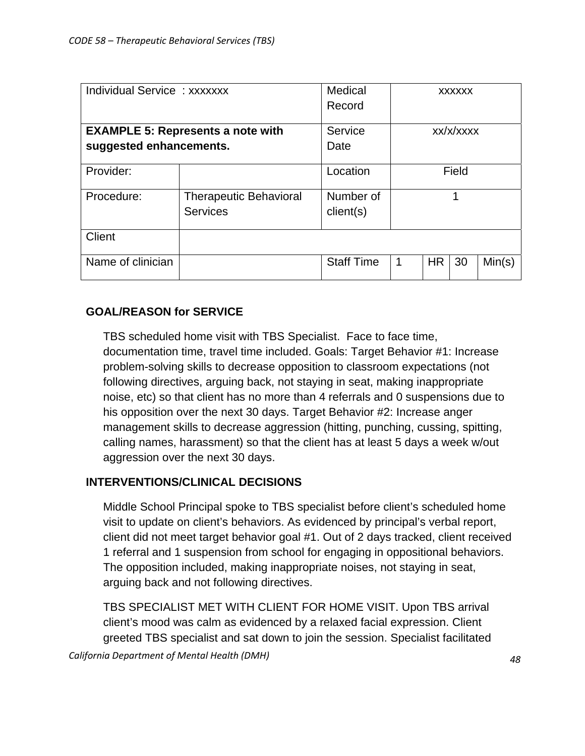| Individual Service: xxxxxxx              |                               | Medical<br>Record | <b>XXXXXX</b> |           |       |        |
|------------------------------------------|-------------------------------|-------------------|---------------|-----------|-------|--------|
| <b>EXAMPLE 5: Represents a note with</b> |                               | Service           | xx/x/xxxx     |           |       |        |
| suggested enhancements.                  |                               | Date              |               |           |       |        |
| Provider:                                |                               | Location          |               |           | Field |        |
| Procedure:                               | <b>Therapeutic Behavioral</b> | Number of         | 4             |           |       |        |
|                                          | <b>Services</b>               | client(s)         |               |           |       |        |
| <b>Client</b>                            |                               |                   |               |           |       |        |
| Name of clinician                        |                               | <b>Staff Time</b> | 1             | <b>HR</b> | 30    | Min(s) |

# **GOAL/REASON for SERVICE**

TBS scheduled home visit with TBS Specialist. Face to face time, documentation time, travel time included. Goals: Target Behavior #1: Increase problem-solving skills to decrease opposition to classroom expectations (not following directives, arguing back, not staying in seat, making inappropriate noise, etc) so that client has no more than 4 referrals and 0 suspensions due to his opposition over the next 30 days. Target Behavior #2: Increase anger management skills to decrease aggression (hitting, punching, cussing, spitting, calling names, harassment) so that the client has at least 5 days a week w/out aggression over the next 30 days.

# **INTERVENTIONS/CLINICAL DECISIONS**

Middle School Principal spoke to TBS specialist before client's scheduled home visit to update on client's behaviors. As evidenced by principal's verbal report, client did not meet target behavior goal #1. Out of 2 days tracked, client received 1 referral and 1 suspension from school for engaging in oppositional behaviors. The opposition included, making inappropriate noises, not staying in seat, arguing back and not following directives.

TBS SPECIALIST MET WITH CLIENT FOR HOME VISIT. Upon TBS arrival client's mood was calm as evidenced by a relaxed facial expression. Client greeted TBS specialist and sat down to join the session. Specialist facilitated